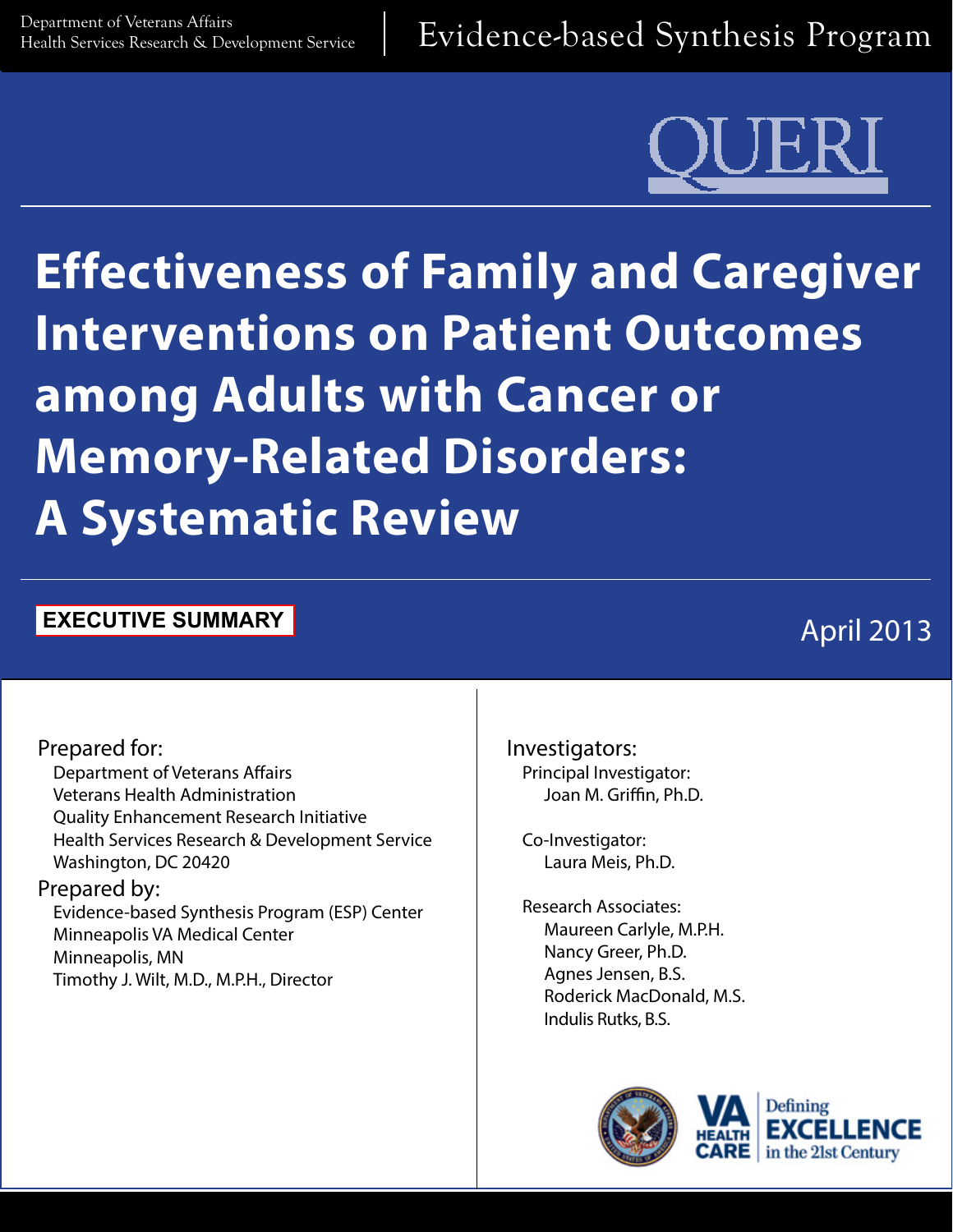

# **Effectiveness of Family and Caregiver Interventions on Patient Outcomes among Adults with Cancer or Memory-Related Disorders: A Systematic Review**

## **EXECUTIVE SUMMARY EXECUTIVE SUMMARY**

#### Prepared for:

Department of Veterans Affairs Veterans Health Administration Quality Enhancement Research Initiative Health Services Research & Development Service Washington, DC 20420

#### Prepared by:

Evidence-based Synthesis Program (ESP) Center Minneapolis VA Medical Center Minneapolis, MN Timothy J. Wilt, M.D., M.P.H., Director

Investigators: Principal Investigator: Joan M. Griffin, Ph.D.

Co-Investigator: Laura Meis, Ph.D.

Research Associates: Maureen Carlyle, M.P.H. Nancy Greer, Ph.D. Agnes Jensen, B.S. Roderick MacDonald, M.S. Indulis Rutks, B.S.

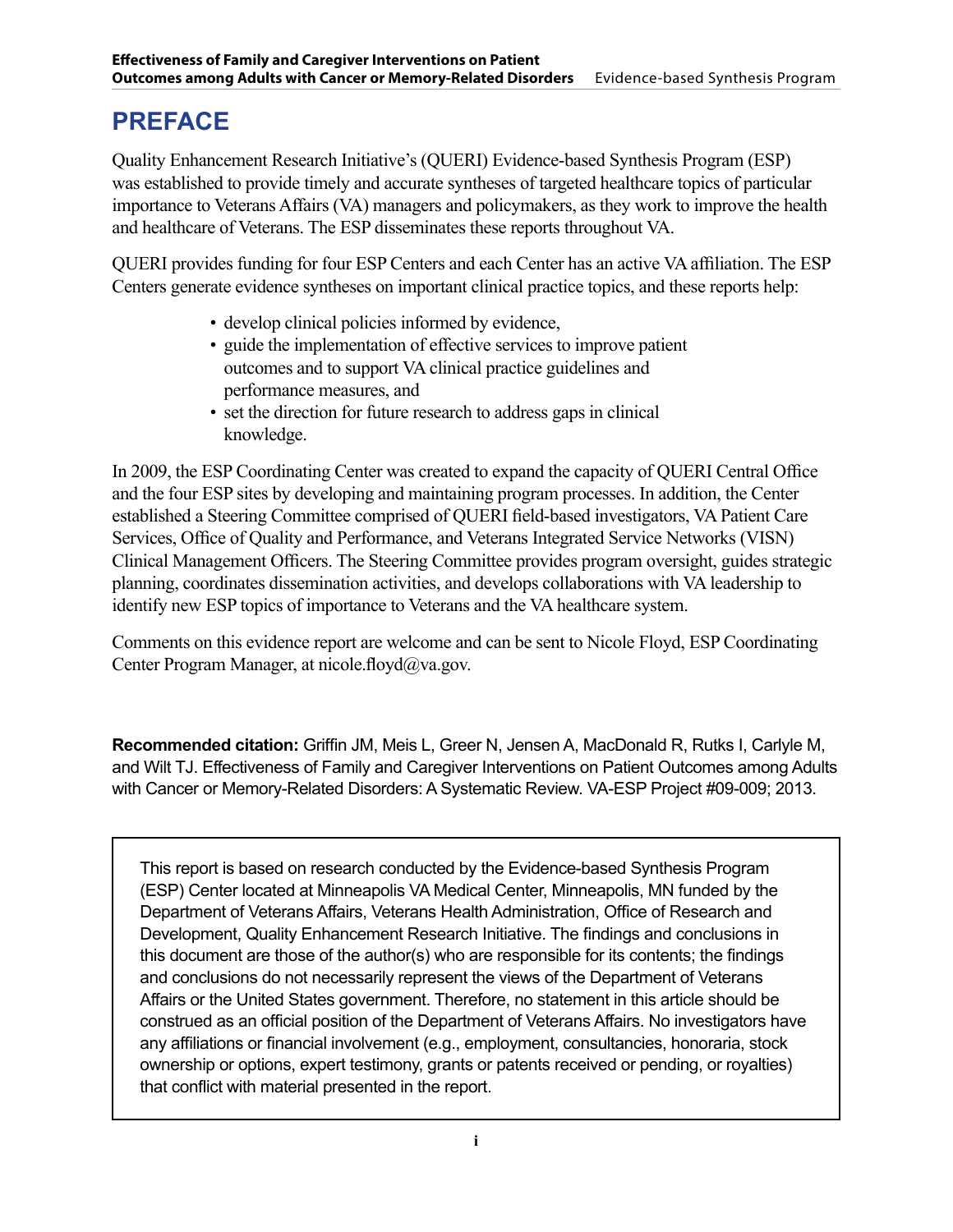### **PREFACE**

Quality Enhancement Research Initiative's (QUERI) Evidence-based Synthesis Program (ESP) was established to provide timely and accurate syntheses of targeted healthcare topics of particular importance to Veterans Affairs (VA) managers and policymakers, as they work to improve the health and healthcare of Veterans. The ESP disseminates these reports throughout VA.

QUERI provides funding for four ESP Centers and each Center has an active VA affiliation. The ESP Centers generate evidence syntheses on important clinical practice topics, and these reports help:

- develop clinical policies informed by evidence,
- guide the implementation of effective services to improve patient outcomes and to support VA clinical practice guidelines and performance measures, and
- set the direction for future research to address gaps in clinical knowledge.

In 2009, the ESP Coordinating Center was created to expand the capacity of QUERI Central Office and the four ESP sites by developing and maintaining program processes. In addition, the Center established a Steering Committee comprised of QUERI field-based investigators, VA Patient Care Services, Office of Quality and Performance, and Veterans Integrated Service Networks (VISN) Clinical Management Officers. The Steering Committee provides program oversight, guides strategic planning, coordinates dissemination activities, and develops collaborations with VA leadership to identify new ESP topics of importance to Veterans and the VA healthcare system.

Comments on this evidence report are welcome and can be sent to Nicole Floyd, ESP Coordinating Center Program Manager, a[t nicole.floyd@va.gov.](mailto:nicole.floyd@va.gov)

**Recommended citation:** Griffin JM, Meis L, Greer N, Jensen A, MacDonald R, Rutks I, Carlyle M, and Wilt TJ. Effectiveness of Family and Caregiver Interventions on Patient Outcomes among Adults with Cancer or Memory-Related Disorders: A Systematic Review. VA-ESP Project #09-009; 2013.

This report is based on research conducted by the Evidence-based Synthesis Program (ESP) Center located at Minneapolis VA Medical Center, Minneapolis, MN funded by the Department of Veterans Affairs, Veterans Health Administration, Office of Research and Development, Quality Enhancement Research Initiative. The findings and conclusions in this document are those of the author(s) who are responsible for its contents; the findings and conclusions do not necessarily represent the views of the Department of Veterans Affairs or the United States government. Therefore, no statement in this article should be construed as an official position of the Department of Veterans Affairs. No investigators have any affiliations or financial involvement (e.g., employment, consultancies, honoraria, stock ownership or options, expert testimony, grants or patents received or pending, or royalties) that conflict with material presented in the report.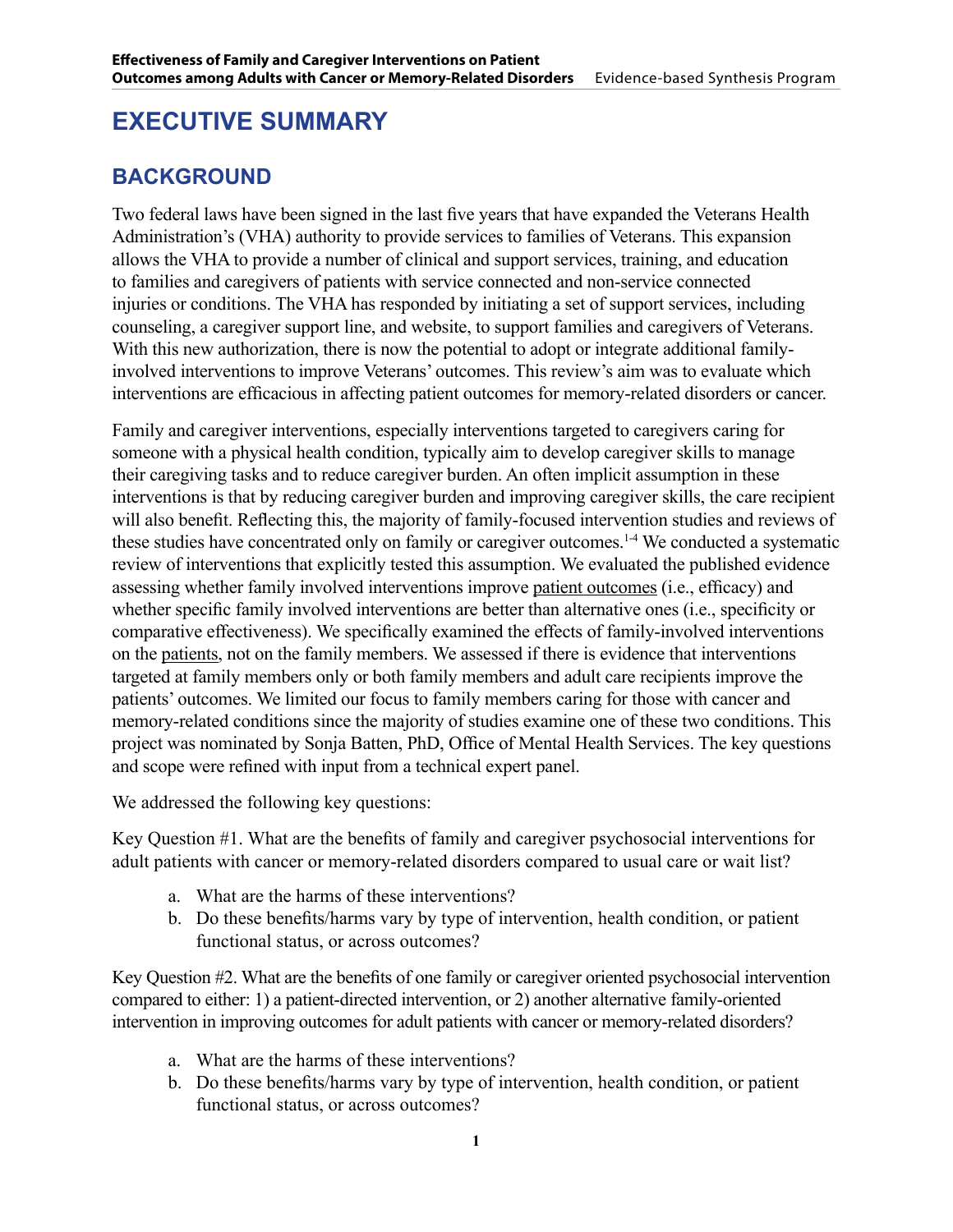### **EXECUTIVE SUMMARY**

#### **BACKGROUND**

Two federal laws have been signed in the last five years that have expanded the Veterans Health Administration's (VHA) authority to provide services to families of Veterans. This expansion allows the VHA to provide a number of clinical and support services, training, and education to families and caregivers of patients with service connected and non-service connected injuries or conditions. The VHA has responded by initiating a set of support services, including counseling, a caregiver support line, and website, to support families and caregivers of Veterans. With this new authorization, there is now the potential to adopt or integrate additional familyinvolved interventions to improve Veterans' outcomes. This review's aim was to evaluate which interventions are efficacious in affecting patient outcomes for memory-related disorders or cancer.

Family and caregiver interventions, especially interventions targeted to caregivers caring for someone with a physical health condition, typically aim to develop caregiver skills to manage their caregiving tasks and to reduce caregiver burden. An often implicit assumption in these interventions is that by reducing caregiver burden and improving caregiver skills, the care recipient will also benefit. Reflecting this, the majority of family-focused intervention studies and reviews of these studies have concentrated only on family or caregiver outcomes.<sup>14</sup> We conducted a systematic review of interventions that explicitly tested this assumption. We evaluated the published evidence assessing whether family involved interventions improve patient outcomes (i.e., efficacy) and whether specific family involved interventions are better than alternative ones (i.e., specificity or comparative effectiveness). We specifically examined the effects of family-involved interventions on the patients, not on the family members. We assessed if there is evidence that interventions targeted at family members only or both family members and adult care recipients improve the patients' outcomes. We limited our focus to family members caring for those with cancer and memory-related conditions since the majority of studies examine one of these two conditions. This project was nominated by Sonja Batten, PhD, Office of Mental Health Services. The key questions and scope were refined with input from a technical expert panel.

We addressed the following key questions:

Key Question #1. What are the benefits of family and caregiver psychosocial interventions for adult patients with cancer or memory-related disorders compared to usual care or wait list?

- a. What are the harms of these interventions?
- b. Do these benefits/harms vary by type of intervention, health condition, or patient functional status, or across outcomes?

Key Question #2. What are the benefits of one family or caregiver oriented psychosocial intervention compared to either: 1) a patient-directed intervention, or 2) another alternative family-oriented intervention in improving outcomes for adult patients with cancer or memory-related disorders?

- a. What are the harms of these interventions?
- b. Do these benefits/harms vary by type of intervention, health condition, or patient functional status, or across outcomes?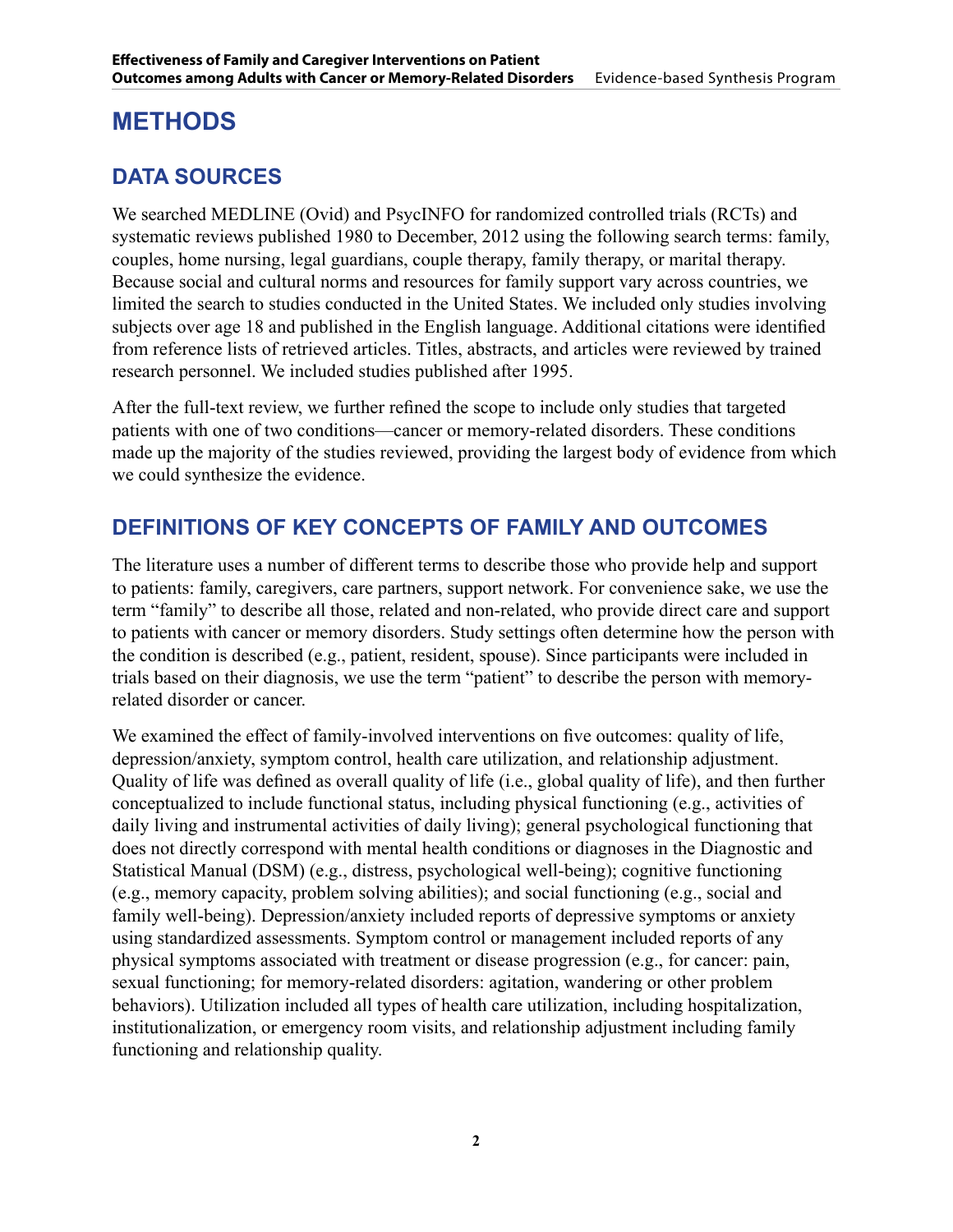### **METHODS**

#### **DATA SOURCES**

We searched MEDLINE (Ovid) and PsycINFO for randomized controlled trials (RCTs) and systematic reviews published 1980 to December, 2012 using the following search terms: family, couples, home nursing, legal guardians, couple therapy, family therapy, or marital therapy. Because social and cultural norms and resources for family support vary across countries, we limited the search to studies conducted in the United States. We included only studies involving subjects over age 18 and published in the English language. Additional citations were identified from reference lists of retrieved articles. Titles, abstracts, and articles were reviewed by trained research personnel. We included studies published after 1995.

After the full-text review, we further refined the scope to include only studies that targeted patients with one of two conditions—cancer or memory-related disorders. These conditions made up the majority of the studies reviewed, providing the largest body of evidence from which we could synthesize the evidence.

#### **DEFINITIONS OF KEY CONCEPTS OF FAMILY AND OUTCOMES**

The literature uses a number of different terms to describe those who provide help and support to patients: family, caregivers, care partners, support network. For convenience sake, we use the term "family" to describe all those, related and non-related, who provide direct care and support to patients with cancer or memory disorders. Study settings often determine how the person with the condition is described (e.g., patient, resident, spouse). Since participants were included in trials based on their diagnosis, we use the term "patient" to describe the person with memoryrelated disorder or cancer.

We examined the effect of family-involved interventions on five outcomes: quality of life, depression/anxiety, symptom control, health care utilization, and relationship adjustment. Quality of life was defined as overall quality of life (i.e., global quality of life), and then further conceptualized to include functional status, including physical functioning (e.g., activities of daily living and instrumental activities of daily living); general psychological functioning that does not directly correspond with mental health conditions or diagnoses in the Diagnostic and Statistical Manual (DSM) (e.g., distress, psychological well-being); cognitive functioning (e.g., memory capacity, problem solving abilities); and social functioning (e.g., social and family well-being). Depression/anxiety included reports of depressive symptoms or anxiety using standardized assessments. Symptom control or management included reports of any physical symptoms associated with treatment or disease progression (e.g., for cancer: pain, sexual functioning; for memory-related disorders: agitation, wandering or other problem behaviors). Utilization included all types of health care utilization, including hospitalization, institutionalization, or emergency room visits, and relationship adjustment including family functioning and relationship quality.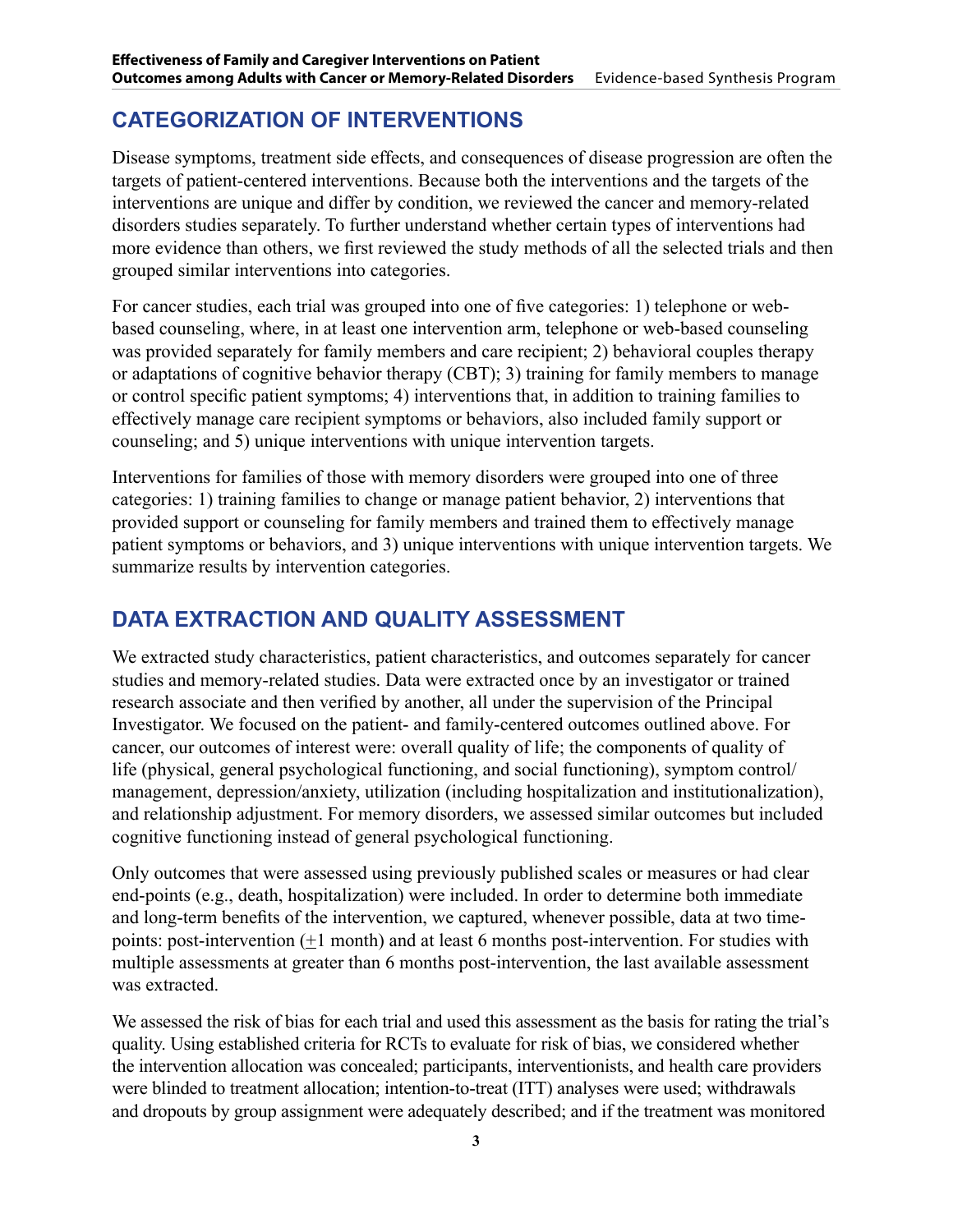### **CATEGORIZATION OF INTERVENTIONS**

Disease symptoms, treatment side effects, and consequences of disease progression are often the targets of patient-centered interventions. Because both the interventions and the targets of the interventions are unique and differ by condition, we reviewed the cancer and memory-related disorders studies separately. To further understand whether certain types of interventions had more evidence than others, we first reviewed the study methods of all the selected trials and then grouped similar interventions into categories.

For cancer studies, each trial was grouped into one of five categories: 1) telephone or webbased counseling, where, in at least one intervention arm, telephone or web-based counseling was provided separately for family members and care recipient; 2) behavioral couples therapy or adaptations of cognitive behavior therapy (CBT); 3) training for family members to manage or control specific patient symptoms; 4) interventions that, in addition to training families to effectively manage care recipient symptoms or behaviors, also included family support or counseling; and 5) unique interventions with unique intervention targets.

Interventions for families of those with memory disorders were grouped into one of three categories: 1) training families to change or manage patient behavior, 2) interventions that provided support or counseling for family members and trained them to effectively manage patient symptoms or behaviors, and 3) unique interventions with unique intervention targets. We summarize results by intervention categories.

### **DATA EXTRACTION AND QUALITY ASSESSMENT**

We extracted study characteristics, patient characteristics, and outcomes separately for cancer studies and memory-related studies. Data were extracted once by an investigator or trained research associate and then verified by another, all under the supervision of the Principal Investigator. We focused on the patient- and family-centered outcomes outlined above. For cancer, our outcomes of interest were: overall quality of life; the components of quality of life (physical, general psychological functioning, and social functioning), symptom control/ management, depression/anxiety, utilization (including hospitalization and institutionalization), and relationship adjustment. For memory disorders, we assessed similar outcomes but included cognitive functioning instead of general psychological functioning.

Only outcomes that were assessed using previously published scales or measures or had clear end-points (e.g., death, hospitalization) were included. In order to determine both immediate and long-term benefits of the intervention, we captured, whenever possible, data at two timepoints: post-intervention  $(1 \text{ month})$  and at least 6 months post-intervention. For studies with multiple assessments at greater than 6 months post-intervention, the last available assessment was extracted.

We assessed the risk of bias for each trial and used this assessment as the basis for rating the trial's quality. Using established criteria for RCTs to evaluate for risk of bias, we considered whether the intervention allocation was concealed; participants, interventionists, and health care providers were blinded to treatment allocation; intention-to-treat (ITT) analyses were used; withdrawals and dropouts by group assignment were adequately described; and if the treatment was monitored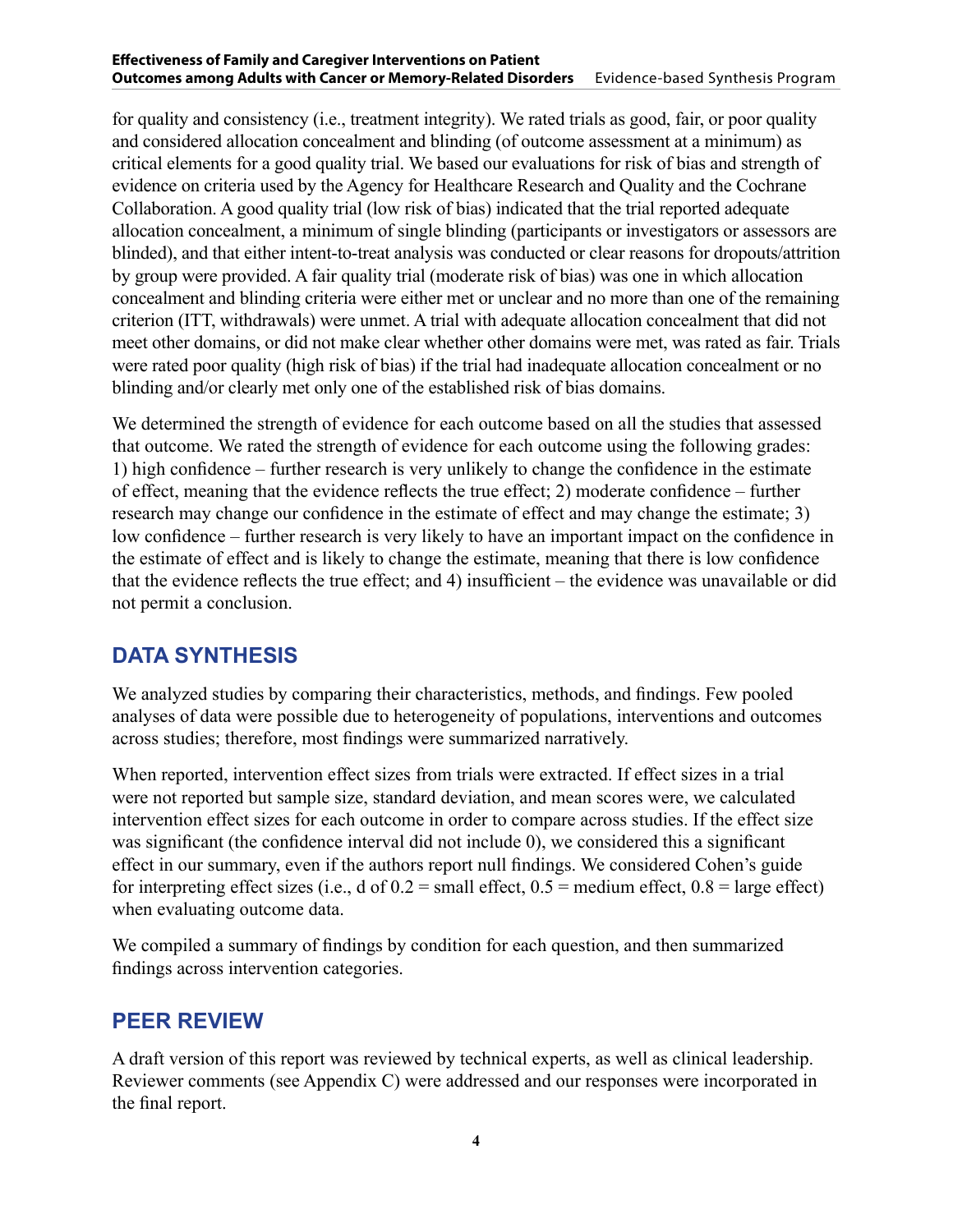for quality and consistency (i.e., treatment integrity). We rated trials as good, fair, or poor quality and considered allocation concealment and blinding (of outcome assessment at a minimum) as critical elements for a good quality trial. We based our evaluations for risk of bias and strength of evidence on criteria used by the Agency for Healthcare Research and Quality and the Cochrane Collaboration. A good quality trial (low risk of bias) indicated that the trial reported adequate allocation concealment, a minimum of single blinding (participants or investigators or assessors are blinded), and that either intent-to-treat analysis was conducted or clear reasons for dropouts/attrition by group were provided. A fair quality trial (moderate risk of bias) was one in which allocation concealment and blinding criteria were either met or unclear and no more than one of the remaining criterion (ITT, withdrawals) were unmet. A trial with adequate allocation concealment that did not meet other domains, or did not make clear whether other domains were met, was rated as fair. Trials were rated poor quality (high risk of bias) if the trial had inadequate allocation concealment or no blinding and/or clearly met only one of the established risk of bias domains.

We determined the strength of evidence for each outcome based on all the studies that assessed that outcome. We rated the strength of evidence for each outcome using the following grades: 1) high confidence – further research is very unlikely to change the confidence in the estimate of effect, meaning that the evidence reflects the true effect; 2) moderate confidence – further research may change our confidence in the estimate of effect and may change the estimate; 3) low confidence – further research is very likely to have an important impact on the confidence in the estimate of effect and is likely to change the estimate, meaning that there is low confidence that the evidence reflects the true effect; and 4) insufficient – the evidence was unavailable or did not permit a conclusion.

#### **DATA SYNTHESIS**

We analyzed studies by comparing their characteristics, methods, and findings. Few pooled analyses of data were possible due to heterogeneity of populations, interventions and outcomes across studies; therefore, most findings were summarized narratively.

When reported, intervention effect sizes from trials were extracted. If effect sizes in a trial were not reported but sample size, standard deviation, and mean scores were, we calculated intervention effect sizes for each outcome in order to compare across studies. If the effect size was significant (the confidence interval did not include 0), we considered this a significant effect in our summary, even if the authors report null findings. We considered Cohen's guide for interpreting effect sizes (i.e., d of  $0.2$  = small effect,  $0.5$  = medium effect,  $0.8$  = large effect) when evaluating outcome data.

We compiled a summary of findings by condition for each question, and then summarized findings across intervention categories.

#### **PEER REVIEW**

A draft version of this report was reviewed by technical experts, as well as clinical leadership. Reviewer comments (see Appendix C) were addressed and our responses were incorporated in the final report.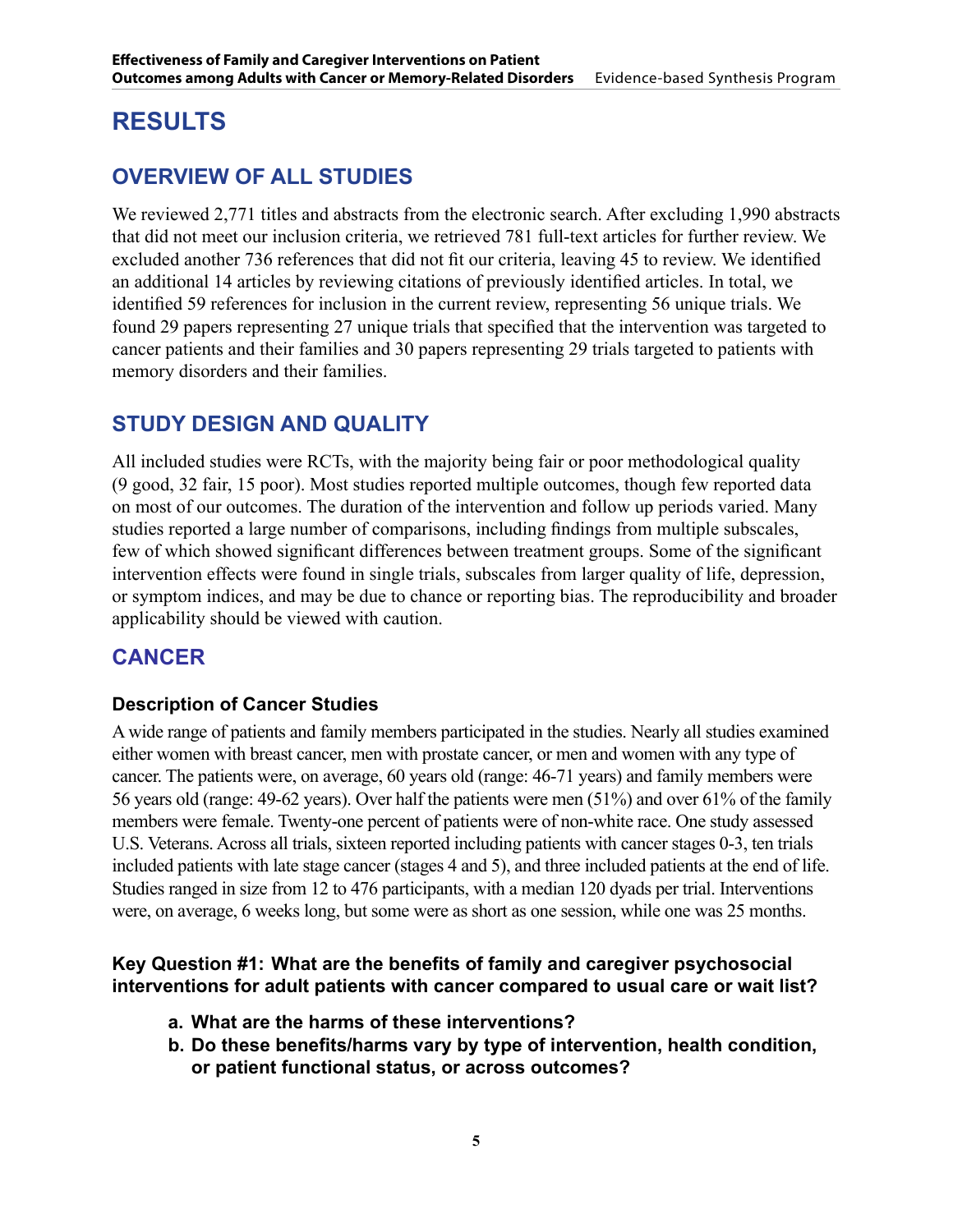### **RESULTS**

### **OVERVIEW OF ALL STUDIES**

We reviewed 2,771 titles and abstracts from the electronic search. After excluding 1,990 abstracts that did not meet our inclusion criteria, we retrieved 781 full-text articles for further review. We excluded another 736 references that did not fit our criteria, leaving 45 to review. We identified an additional 14 articles by reviewing citations of previously identified articles. In total, we identified 59 references for inclusion in the current review, representing 56 unique trials. We found 29 papers representing 27 unique trials that specified that the intervention was targeted to cancer patients and their families and 30 papers representing 29 trials targeted to patients with memory disorders and their families.

#### **STUDY DESIGN AND QUALITY**

All included studies were RCTs, with the majority being fair or poor methodological quality (9 good, 32 fair, 15 poor). Most studies reported multiple outcomes, though few reported data on most of our outcomes. The duration of the intervention and follow up periods varied. Many studies reported a large number of comparisons, including findings from multiple subscales, few of which showed significant differences between treatment groups. Some of the significant intervention effects were found in single trials, subscales from larger quality of life, depression, or symptom indices, and may be due to chance or reporting bias. The reproducibility and broader applicability should be viewed with caution.

#### **CANCER**

#### **Description of Cancer Studies**

A wide range of patients and family members participated in the studies. Nearly all studies examined either women with breast cancer, men with prostate cancer, or men and women with any type of cancer. The patients were, on average, 60 years old (range: 46-71 years) and family members were 56 years old (range: 49-62 years). Over half the patients were men (51%) and over 61% of the family members were female. Twenty-one percent of patients were of non-white race. One study assessed U.S. Veterans. Across all trials, sixteen reported including patients with cancer stages 0-3, ten trials included patients with late stage cancer (stages 4 and 5), and three included patients at the end of life. Studies ranged in size from 12 to 476 participants, with a median 120 dyads per trial. Interventions were, on average, 6 weeks long, but some were as short as one session, while one was 25 months.

#### **Key Question #1: What are the benefits of family and caregiver psychosocial interventions for adult patients with cancer compared to usual care or wait list?**

- **a. What are the harms of these interventions?**
- **b. Do these benefits/harms vary by type of intervention, health condition, or patient functional status, or across outcomes?**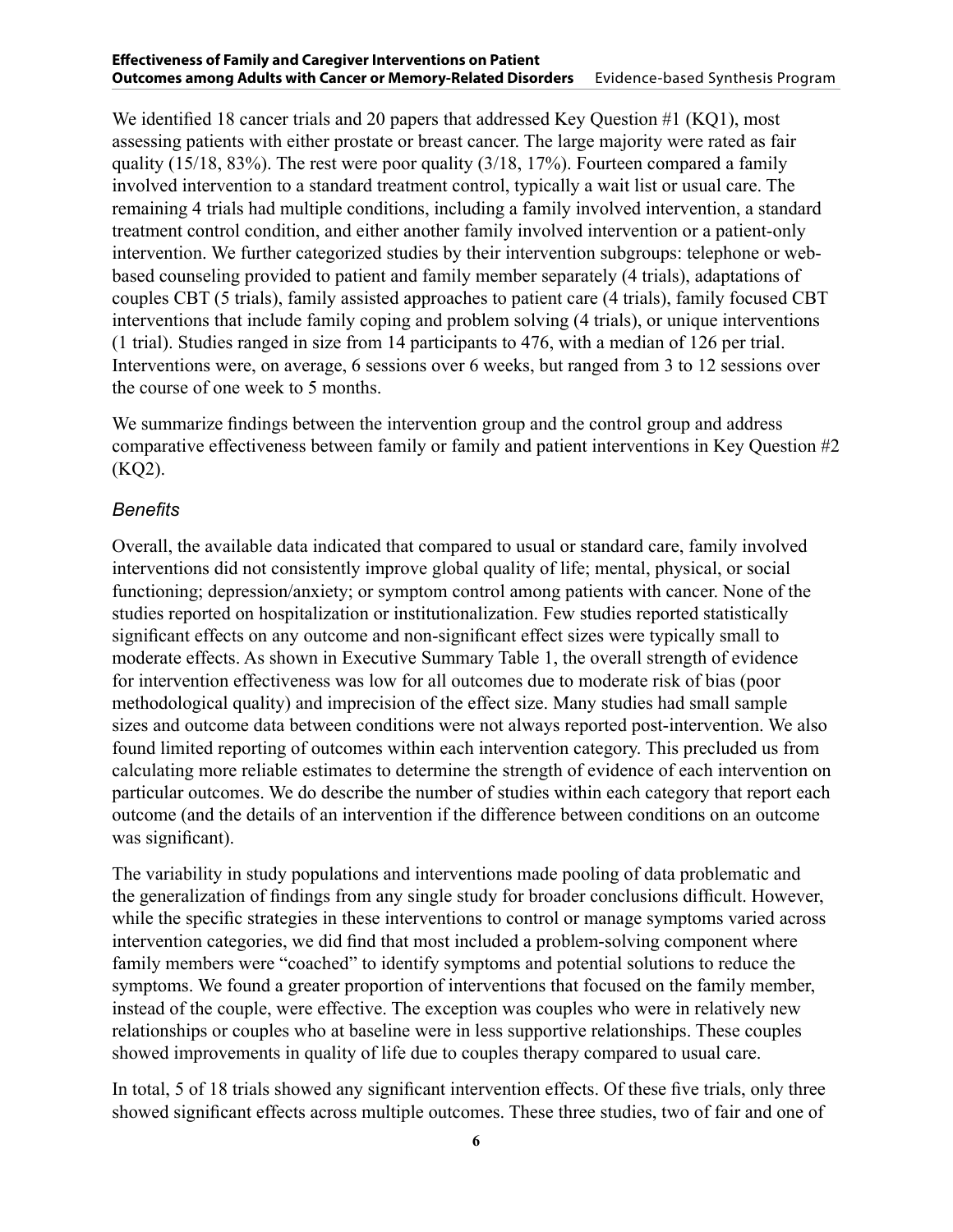We identified 18 cancer trials and 20 papers that addressed Key Question #1 (KQ1), most assessing patients with either prostate or breast cancer. The large majority were rated as fair quality (15/18, 83%). The rest were poor quality  $(3/18, 17%)$ . Fourteen compared a family involved intervention to a standard treatment control, typically a wait list or usual care. The remaining 4 trials had multiple conditions, including a family involved intervention, a standard treatment control condition, and either another family involved intervention or a patient-only intervention. We further categorized studies by their intervention subgroups: telephone or webbased counseling provided to patient and family member separately (4 trials), adaptations of couples CBT (5 trials), family assisted approaches to patient care (4 trials), family focused CBT interventions that include family coping and problem solving (4 trials), or unique interventions (1 trial). Studies ranged in size from 14 participants to 476, with a median of 126 per trial. Interventions were, on average, 6 sessions over 6 weeks, but ranged from 3 to 12 sessions over the course of one week to 5 months.

We summarize findings between the intervention group and the control group and address comparative effectiveness between family or family and patient interventions in Key Question #2 (KQ2).

#### *Benefits*

Overall, the available data indicated that compared to usual or standard care, family involved interventions did not consistently improve global quality of life; mental, physical, or social functioning; depression/anxiety; or symptom control among patients with cancer. None of the studies reported on hospitalization or institutionalization. Few studies reported statistically significant effects on any outcome and non-significant effect sizes were typically small to moderate effects. As shown in Executive Summary Table 1, the overall strength of evidence for intervention effectiveness was low for all outcomes due to moderate risk of bias (poor methodological quality) and imprecision of the effect size. Many studies had small sample sizes and outcome data between conditions were not always reported post-intervention. We also found limited reporting of outcomes within each intervention category. This precluded us from calculating more reliable estimates to determine the strength of evidence of each intervention on particular outcomes. We do describe the number of studies within each category that report each outcome (and the details of an intervention if the difference between conditions on an outcome was significant).

The variability in study populations and interventions made pooling of data problematic and the generalization of findings from any single study for broader conclusions difficult. However, while the specific strategies in these interventions to control or manage symptoms varied across intervention categories, we did find that most included a problem-solving component where family members were "coached" to identify symptoms and potential solutions to reduce the symptoms. We found a greater proportion of interventions that focused on the family member, instead of the couple, were effective. The exception was couples who were in relatively new relationships or couples who at baseline were in less supportive relationships. These couples showed improvements in quality of life due to couples therapy compared to usual care.

In total, 5 of 18 trials showed any significant intervention effects. Of these five trials, only three showed significant effects across multiple outcomes. These three studies, two of fair and one of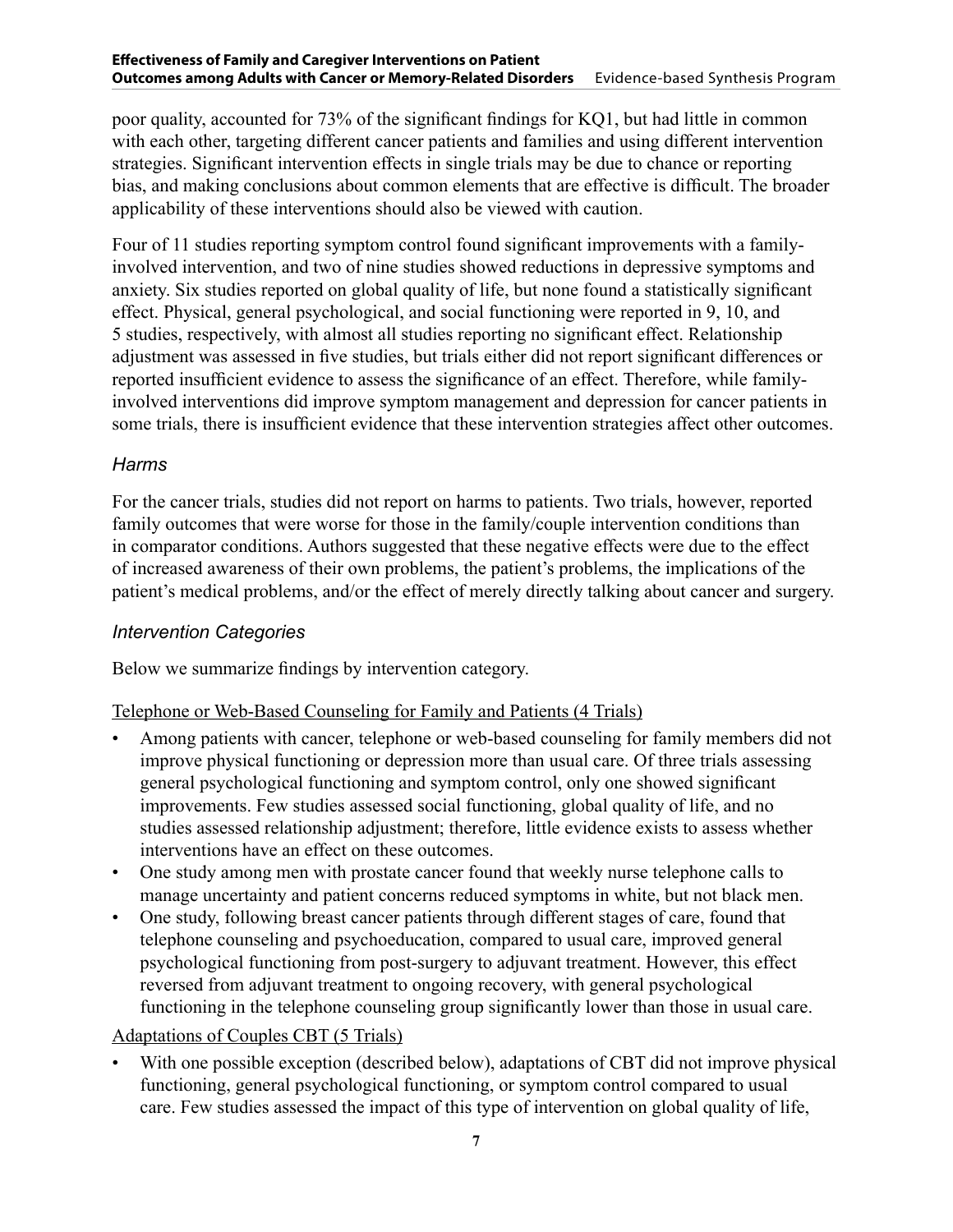poor quality, accounted for 73% of the significant findings for KQ1, but had little in common with each other, targeting different cancer patients and families and using different intervention strategies. Significant intervention effects in single trials may be due to chance or reporting bias, and making conclusions about common elements that are effective is difficult. The broader applicability of these interventions should also be viewed with caution.

Four of 11 studies reporting symptom control found significant improvements with a familyinvolved intervention, and two of nine studies showed reductions in depressive symptoms and anxiety. Six studies reported on global quality of life, but none found a statistically significant effect. Physical, general psychological, and social functioning were reported in 9, 10, and 5 studies, respectively, with almost all studies reporting no significant effect. Relationship adjustment was assessed in five studies, but trials either did not report significant differences or reported insufficient evidence to assess the significance of an effect. Therefore, while familyinvolved interventions did improve symptom management and depression for cancer patients in some trials, there is insufficient evidence that these intervention strategies affect other outcomes.

#### *Harms*

For the cancer trials, studies did not report on harms to patients. Two trials, however, reported family outcomes that were worse for those in the family/couple intervention conditions than in comparator conditions. Authors suggested that these negative effects were due to the effect of increased awareness of their own problems, the patient's problems, the implications of the patient's medical problems, and/or the effect of merely directly talking about cancer and surgery.

#### *Intervention Categories*

Below we summarize findings by intervention category.

#### Telephone or Web-Based Counseling for Family and Patients (4 Trials)

- Among patients with cancer, telephone or web-based counseling for family members did not improve physical functioning or depression more than usual care. Of three trials assessing general psychological functioning and symptom control, only one showed significant improvements. Few studies assessed social functioning, global quality of life, and no studies assessed relationship adjustment; therefore, little evidence exists to assess whether interventions have an effect on these outcomes.
- One study among men with prostate cancer found that weekly nurse telephone calls to manage uncertainty and patient concerns reduced symptoms in white, but not black men.
- One study, following breast cancer patients through different stages of care, found that telephone counseling and psychoeducation, compared to usual care, improved general psychological functioning from post-surgery to adjuvant treatment. However, this effect reversed from adjuvant treatment to ongoing recovery, with general psychological functioning in the telephone counseling group significantly lower than those in usual care.

#### Adaptations of Couples CBT (5 Trials)

With one possible exception (described below), adaptations of CBT did not improve physical functioning, general psychological functioning, or symptom control compared to usual care. Few studies assessed the impact of this type of intervention on global quality of life,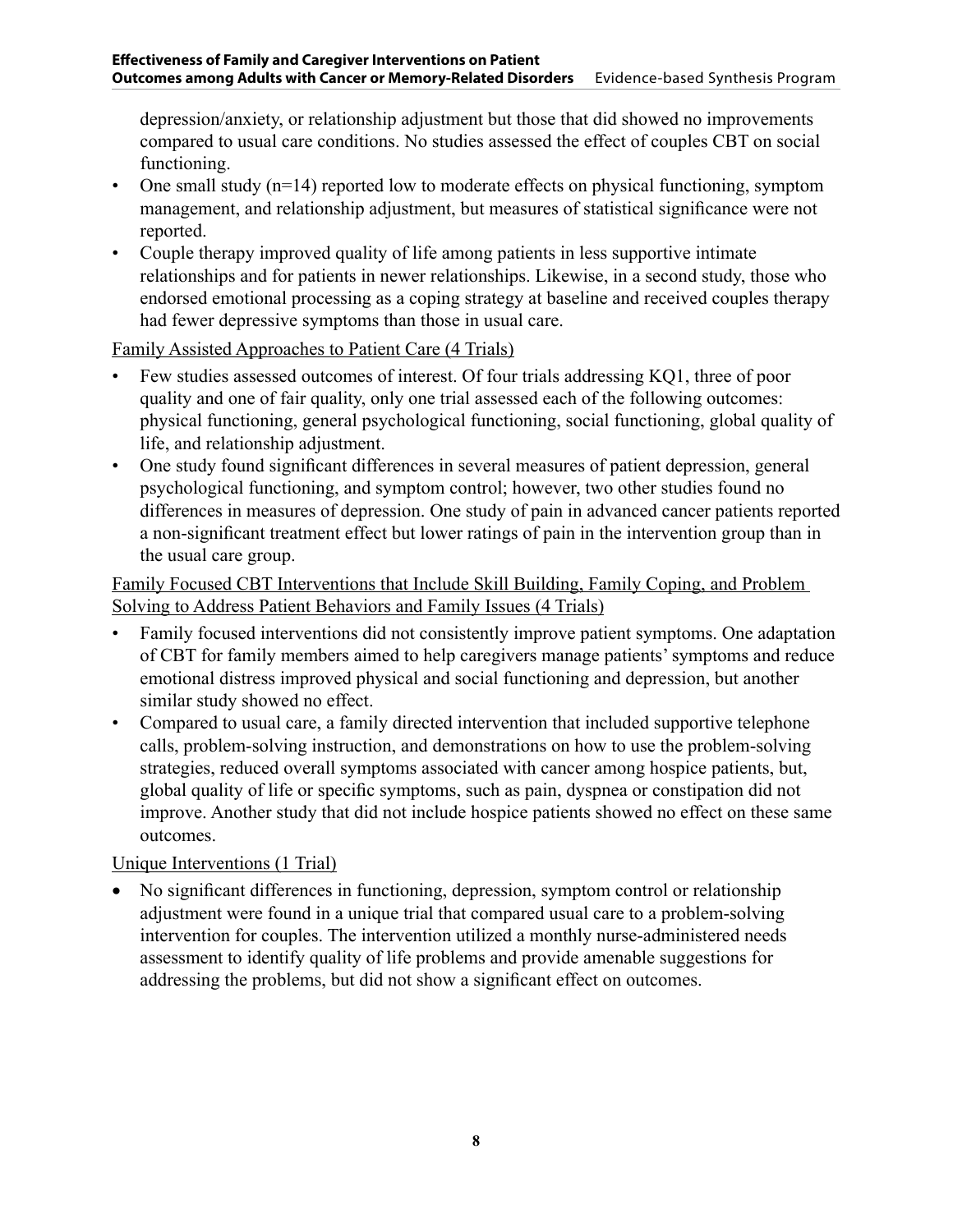depression/anxiety, or relationship adjustment but those that did showed no improvements compared to usual care conditions. No studies assessed the effect of couples CBT on social functioning.

- One small study (n=14) reported low to moderate effects on physical functioning, symptom management, and relationship adjustment, but measures of statistical significance were not reported.
- Couple therapy improved quality of life among patients in less supportive intimate relationships and for patients in newer relationships. Likewise, in a second study, those who endorsed emotional processing as a coping strategy at baseline and received couples therapy had fewer depressive symptoms than those in usual care.

#### Family Assisted Approaches to Patient Care (4 Trials)

- Few studies assessed outcomes of interest. Of four trials addressing KQ1, three of poor quality and one of fair quality, only one trial assessed each of the following outcomes: physical functioning, general psychological functioning, social functioning, global quality of life, and relationship adjustment.
- One study found significant differences in several measures of patient depression, general psychological functioning, and symptom control; however, two other studies found no differences in measures of depression. One study of pain in advanced cancer patients reported a non-significant treatment effect but lower ratings of pain in the intervention group than in the usual care group.

Family Focused CBT Interventions that Include Skill Building, Family Coping, and Problem Solving to Address Patient Behaviors and Family Issues (4 Trials)

- Family focused interventions did not consistently improve patient symptoms. One adaptation of CBT for family members aimed to help caregivers manage patients' symptoms and reduce emotional distress improved physical and social functioning and depression, but another similar study showed no effect.
- Compared to usual care, a family directed intervention that included supportive telephone calls, problem-solving instruction, and demonstrations on how to use the problem-solving strategies, reduced overall symptoms associated with cancer among hospice patients, but, global quality of life or specific symptoms, such as pain, dyspnea or constipation did not improve. Another study that did not include hospice patients showed no effect on these same outcomes.

Unique Interventions (1 Trial)

No significant differences in functioning, depression, symptom control or relationship adjustment were found in a unique trial that compared usual care to a problem-solving intervention for couples. The intervention utilized a monthly nurse-administered needs assessment to identify quality of life problems and provide amenable suggestions for addressing the problems, but did not show a significant effect on outcomes.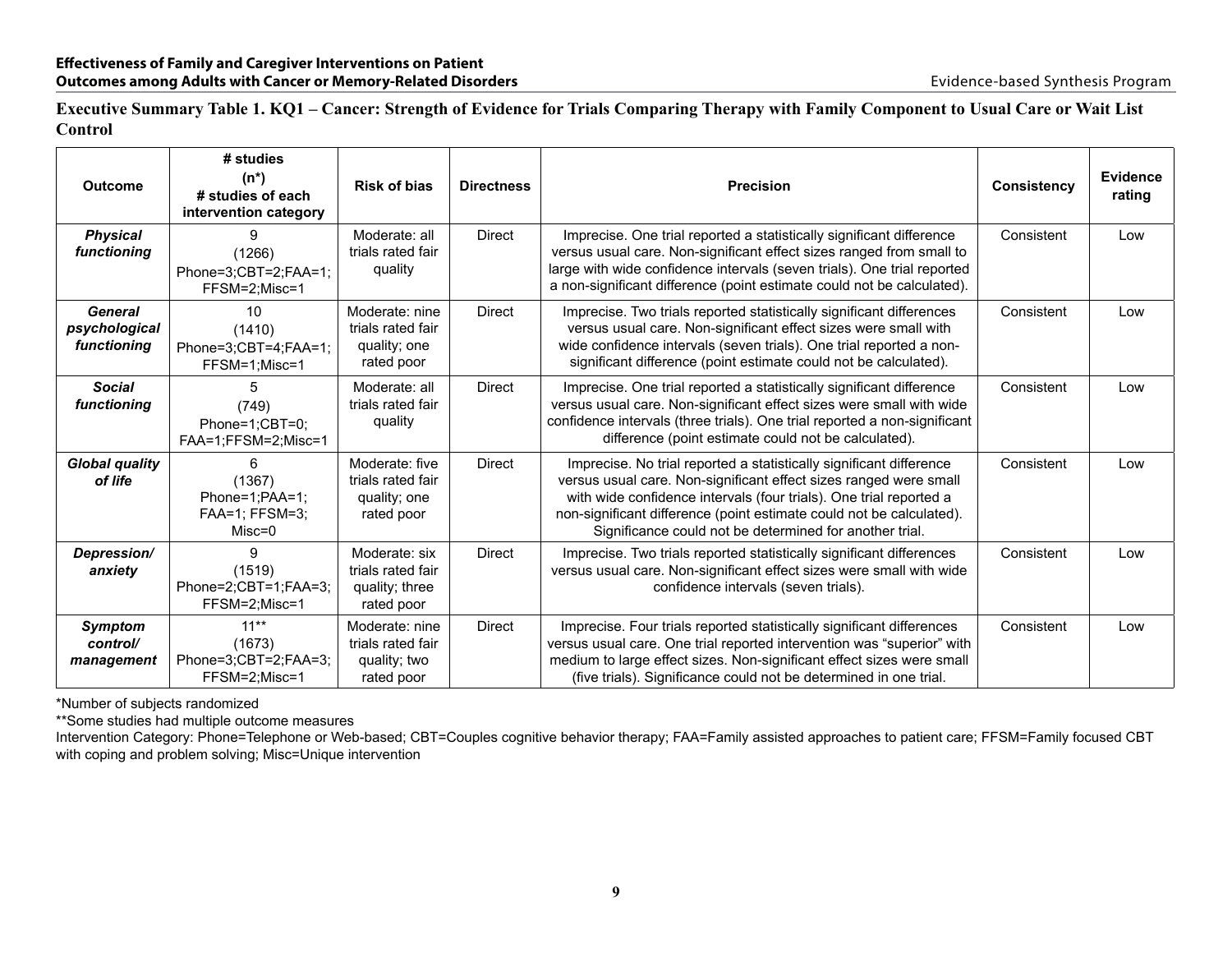**Executive Summary Table 1. KQ1 – Cancer: Strength of Evidence for Trials Comparing Therapy with Family Component to Usual Care or Wait List Control**

| <b>Outcome</b>                                 | # studies<br>$(n^*)$<br># studies of each<br>intervention category   | <b>Risk of bias</b>                                                | <b>Directness</b> | <b>Precision</b>                                                                                                                                                                                                                                                                                                                                  | Consistency | Evidence<br>rating |
|------------------------------------------------|----------------------------------------------------------------------|--------------------------------------------------------------------|-------------------|---------------------------------------------------------------------------------------------------------------------------------------------------------------------------------------------------------------------------------------------------------------------------------------------------------------------------------------------------|-------------|--------------------|
| <b>Physical</b><br>functioning                 | 9<br>(1266)<br>Phone=3;CBT=2;FAA=1;<br>FFSM=2;Misc=1                 | Moderate: all<br>trials rated fair<br>quality                      | <b>Direct</b>     | Imprecise. One trial reported a statistically significant difference<br>versus usual care. Non-significant effect sizes ranged from small to<br>large with wide confidence intervals (seven trials). One trial reported<br>a non-significant difference (point estimate could not be calculated).                                                 | Consistent  | Low                |
| <b>General</b><br>psychological<br>functioning | 10<br>(1410)<br>Phone=3;CBT=4;FAA=1;<br>FFSM=1:Misc=1                | Moderate: nine<br>trials rated fair<br>quality; one<br>rated poor  | Direct            | Imprecise. Two trials reported statistically significant differences<br>versus usual care. Non-significant effect sizes were small with<br>wide confidence intervals (seven trials). One trial reported a non-<br>significant difference (point estimate could not be calculated).                                                                | Consistent  | Low                |
| <b>Social</b><br>functioning                   | 5<br>(749)<br>Phone=1;CBT=0;<br>FAA=1;FFSM=2;Misc=1                  | Moderate: all<br>trials rated fair<br>quality                      | <b>Direct</b>     | Imprecise. One trial reported a statistically significant difference<br>versus usual care. Non-significant effect sizes were small with wide<br>confidence intervals (three trials). One trial reported a non-significant<br>difference (point estimate could not be calculated).                                                                 | Consistent  | Low                |
| <b>Global quality</b><br>of life               | 6<br>(1367)<br>Phone=1;PAA=1;<br><b>FAA=1: FFSM=3:</b><br>$Misc = 0$ | Moderate: five<br>trials rated fair<br>quality; one<br>rated poor  | <b>Direct</b>     | Imprecise. No trial reported a statistically significant difference<br>versus usual care. Non-significant effect sizes ranged were small<br>with wide confidence intervals (four trials). One trial reported a<br>non-significant difference (point estimate could not be calculated).<br>Significance could not be determined for another trial. | Consistent  | Low                |
| Depression/<br>anxiety                         | 9<br>(1519)<br>Phone=2;CBT=1;FAA=3;<br>FFSM=2;Misc=1                 | Moderate: six<br>trials rated fair<br>quality; three<br>rated poor | Direct            | Imprecise. Two trials reported statistically significant differences<br>versus usual care. Non-significant effect sizes were small with wide<br>confidence intervals (seven trials).                                                                                                                                                              | Consistent  | Low                |
| <b>Symptom</b><br>control/<br>management       | $11**$<br>(1673)<br>Phone=3;CBT=2;FAA=3;<br>FFSM=2;Misc=1            | Moderate: nine<br>trials rated fair<br>quality; two<br>rated poor  | <b>Direct</b>     | Imprecise. Four trials reported statistically significant differences<br>versus usual care. One trial reported intervention was "superior" with<br>medium to large effect sizes. Non-significant effect sizes were small<br>(five trials). Significance could not be determined in one trial.                                                     | Consistent  | Low                |

\*Number of subjects randomized

\*\*Some studies had multiple outcome measures

Intervention Category: Phone=Telephone or Web-based; CBT=Couples cognitive behavior therapy; FAA=Family assisted approaches to patient care; FFSM=Family focused CBT with coping and problem solving; Misc=Unique intervention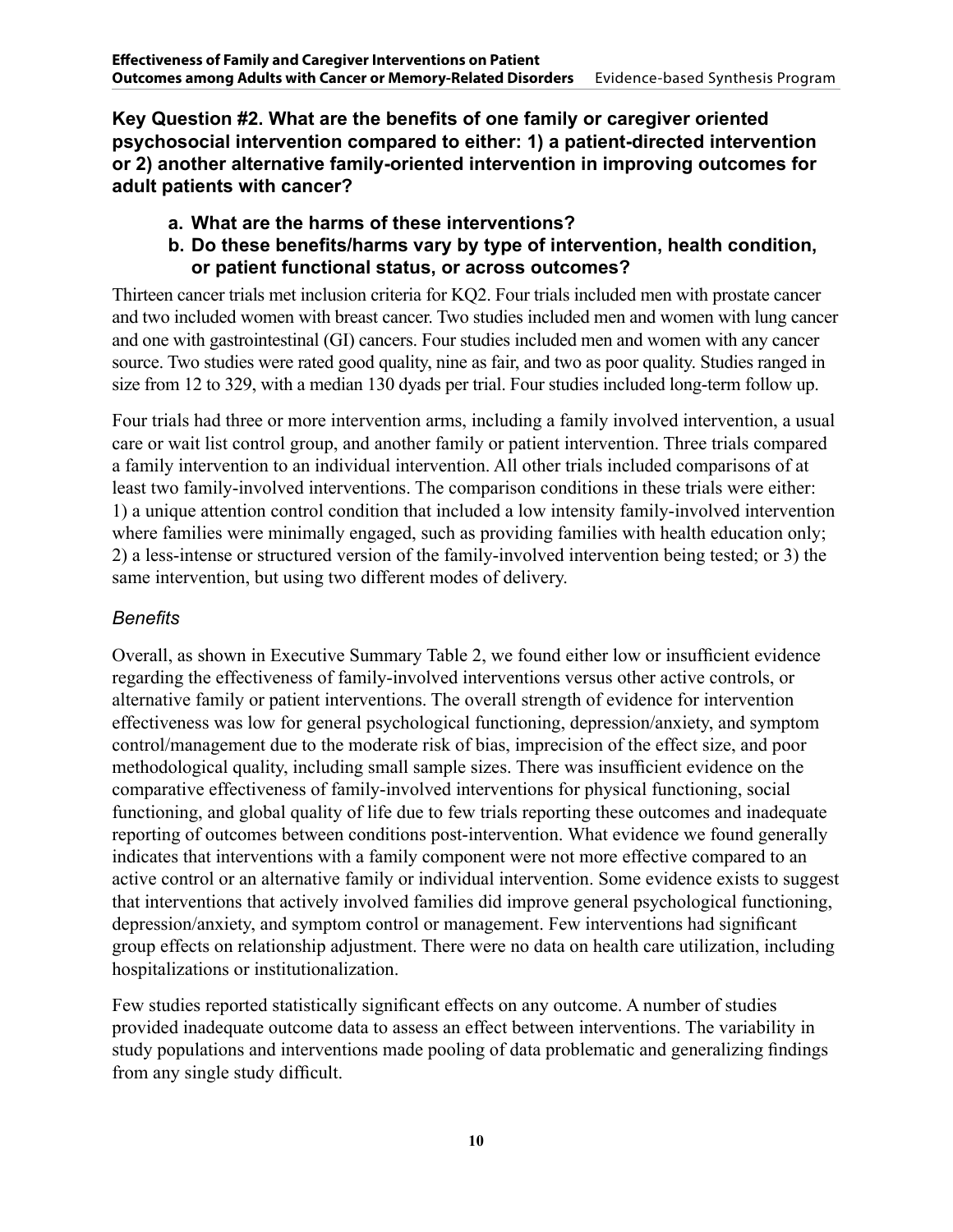**Key Question #2. What are the benefits of one family or caregiver oriented psychosocial intervention compared to either: 1) a patient-directed intervention or 2) another alternative family-oriented intervention in improving outcomes for adult patients with cancer?**

- **a. What are the harms of these interventions?**
- **b. Do these benefits/harms vary by type of intervention, health condition, or patient functional status, or across outcomes?**

Thirteen cancer trials met inclusion criteria for KQ2. Four trials included men with prostate cancer and two included women with breast cancer. Two studies included men and women with lung cancer and one with gastrointestinal (GI) cancers. Four studies included men and women with any cancer source. Two studies were rated good quality, nine as fair, and two as poor quality. Studies ranged in size from 12 to 329, with a median 130 dyads per trial. Four studies included long-term follow up.

Four trials had three or more intervention arms, including a family involved intervention, a usual care or wait list control group, and another family or patient intervention. Three trials compared a family intervention to an individual intervention. All other trials included comparisons of at least two family-involved interventions. The comparison conditions in these trials were either: 1) a unique attention control condition that included a low intensity family-involved intervention where families were minimally engaged, such as providing families with health education only; 2) a less-intense or structured version of the family-involved intervention being tested; or 3) the same intervention, but using two different modes of delivery.

#### *Benefits*

Overall, as shown in Executive Summary Table 2, we found either low or insufficient evidence regarding the effectiveness of family-involved interventions versus other active controls, or alternative family or patient interventions. The overall strength of evidence for intervention effectiveness was low for general psychological functioning, depression/anxiety, and symptom control/management due to the moderate risk of bias, imprecision of the effect size, and poor methodological quality, including small sample sizes. There was insufficient evidence on the comparative effectiveness of family-involved interventions for physical functioning, social functioning, and global quality of life due to few trials reporting these outcomes and inadequate reporting of outcomes between conditions post-intervention. What evidence we found generally indicates that interventions with a family component were not more effective compared to an active control or an alternative family or individual intervention. Some evidence exists to suggest that interventions that actively involved families did improve general psychological functioning, depression/anxiety, and symptom control or management. Few interventions had significant group effects on relationship adjustment. There were no data on health care utilization, including hospitalizations or institutionalization.

Few studies reported statistically significant effects on any outcome. A number of studies provided inadequate outcome data to assess an effect between interventions. The variability in study populations and interventions made pooling of data problematic and generalizing findings from any single study difficult.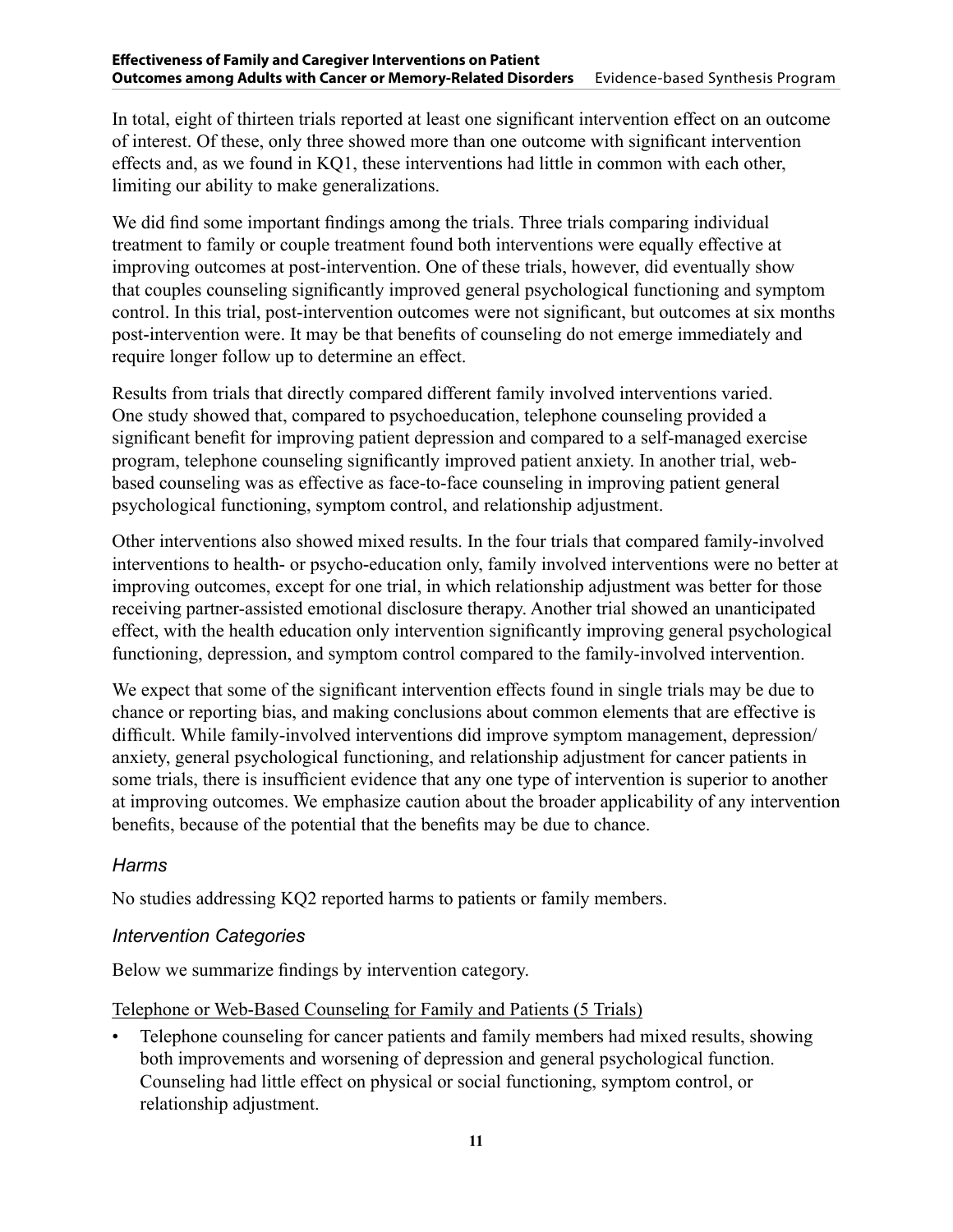In total, eight of thirteen trials reported at least one significant intervention effect on an outcome of interest. Of these, only three showed more than one outcome with significant intervention effects and, as we found in KQ1, these interventions had little in common with each other, limiting our ability to make generalizations.

We did find some important findings among the trials. Three trials comparing individual treatment to family or couple treatment found both interventions were equally effective at improving outcomes at post-intervention. One of these trials, however, did eventually show that couples counseling significantly improved general psychological functioning and symptom control. In this trial, post-intervention outcomes were not significant, but outcomes at six months post-intervention were. It may be that benefits of counseling do not emerge immediately and require longer follow up to determine an effect.

Results from trials that directly compared different family involved interventions varied. One study showed that, compared to psychoeducation, telephone counseling provided a significant benefit for improving patient depression and compared to a self-managed exercise program, telephone counseling significantly improved patient anxiety. In another trial, webbased counseling was as effective as face-to-face counseling in improving patient general psychological functioning, symptom control, and relationship adjustment.

Other interventions also showed mixed results. In the four trials that compared family-involved interventions to health- or psycho-education only, family involved interventions were no better at improving outcomes, except for one trial, in which relationship adjustment was better for those receiving partner-assisted emotional disclosure therapy. Another trial showed an unanticipated effect, with the health education only intervention significantly improving general psychological functioning, depression, and symptom control compared to the family-involved intervention.

We expect that some of the significant intervention effects found in single trials may be due to chance or reporting bias, and making conclusions about common elements that are effective is difficult. While family-involved interventions did improve symptom management, depression/ anxiety, general psychological functioning, and relationship adjustment for cancer patients in some trials, there is insufficient evidence that any one type of intervention is superior to another at improving outcomes. We emphasize caution about the broader applicability of any intervention benefits, because of the potential that the benefits may be due to chance.

#### *Harms*

No studies addressing KQ2 reported harms to patients or family members.

#### *Intervention Categories*

Below we summarize findings by intervention category.

#### Telephone or Web-Based Counseling for Family and Patients (5 Trials)

• Telephone counseling for cancer patients and family members had mixed results, showing both improvements and worsening of depression and general psychological function. Counseling had little effect on physical or social functioning, symptom control, or relationship adjustment.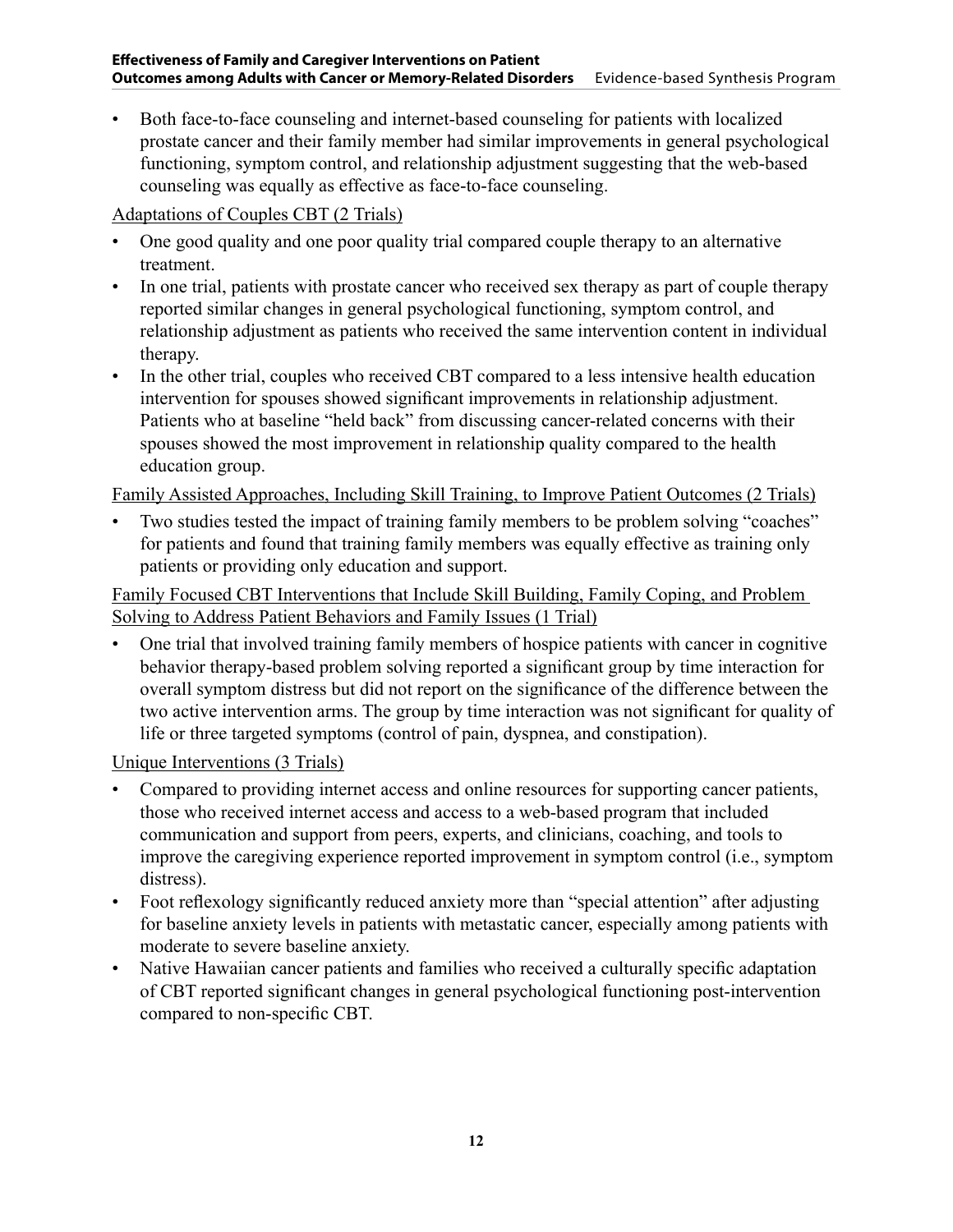• Both face-to-face counseling and internet-based counseling for patients with localized prostate cancer and their family member had similar improvements in general psychological functioning, symptom control, and relationship adjustment suggesting that the web-based counseling was equally as effective as face-to-face counseling.

#### Adaptations of Couples CBT (2 Trials)

- One good quality and one poor quality trial compared couple therapy to an alternative treatment.
- In one trial, patients with prostate cancer who received sex therapy as part of couple therapy reported similar changes in general psychological functioning, symptom control, and relationship adjustment as patients who received the same intervention content in individual therapy.
- In the other trial, couples who received CBT compared to a less intensive health education intervention for spouses showed significant improvements in relationship adjustment. Patients who at baseline "held back" from discussing cancer-related concerns with their spouses showed the most improvement in relationship quality compared to the health education group.

Family Assisted Approaches, Including Skill Training, to Improve Patient Outcomes (2 Trials)

• Two studies tested the impact of training family members to be problem solving "coaches" for patients and found that training family members was equally effective as training only patients or providing only education and support.

Family Focused CBT Interventions that Include Skill Building, Family Coping, and Problem Solving to Address Patient Behaviors and Family Issues (1 Trial)

• One trial that involved training family members of hospice patients with cancer in cognitive behavior therapy-based problem solving reported a significant group by time interaction for overall symptom distress but did not report on the significance of the difference between the two active intervention arms. The group by time interaction was not significant for quality of life or three targeted symptoms (control of pain, dyspnea, and constipation).

Unique Interventions (3 Trials)

- Compared to providing internet access and online resources for supporting cancer patients, those who received internet access and access to a web-based program that included communication and support from peers, experts, and clinicians, coaching, and tools to improve the caregiving experience reported improvement in symptom control (i.e., symptom distress).
- Foot reflexology significantly reduced anxiety more than "special attention" after adjusting for baseline anxiety levels in patients with metastatic cancer, especially among patients with moderate to severe baseline anxiety.
- Native Hawaiian cancer patients and families who received a culturally specific adaptation of CBT reported significant changes in general psychological functioning post-intervention compared to non-specific CBT.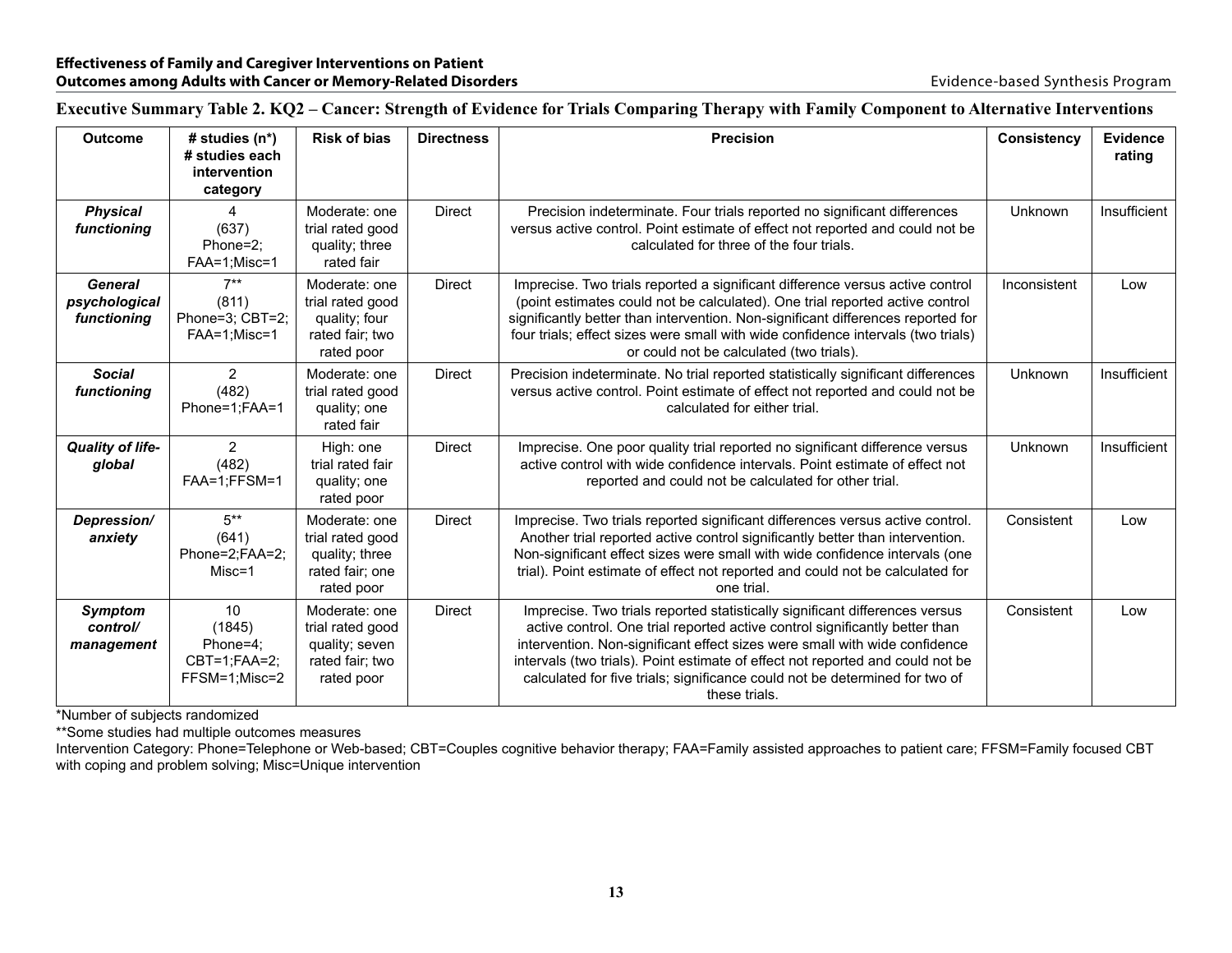#### **Executive Summary Table 2. KQ2 – Cancer: Strength of Evidence for Trials Comparing Therapy with Family Component to Alternative Interventions**

| <b>Outcome</b>                                 | # studies (n*)<br># studies each<br>intervention<br>category | <b>Risk of bias</b>                                                                  | <b>Directness</b> | <b>Precision</b>                                                                                                                                                                                                                                                                                                                                                                                                           | <b>Consistency</b> | <b>Evidence</b><br>rating |
|------------------------------------------------|--------------------------------------------------------------|--------------------------------------------------------------------------------------|-------------------|----------------------------------------------------------------------------------------------------------------------------------------------------------------------------------------------------------------------------------------------------------------------------------------------------------------------------------------------------------------------------------------------------------------------------|--------------------|---------------------------|
| <b>Physical</b><br>functioning                 | 4<br>(637)<br>Phone=2:<br>FAA=1;Misc=1                       | Moderate: one<br>trial rated good<br>quality; three<br>rated fair                    | <b>Direct</b>     | Precision indeterminate. Four trials reported no significant differences<br>versus active control. Point estimate of effect not reported and could not be<br>calculated for three of the four trials.                                                                                                                                                                                                                      | Unknown            | Insufficient              |
| <b>General</b><br>psychological<br>functioning | $7**$<br>(811)<br>Phone=3; CBT=2;<br>FAA=1;Misc=1            | Moderate: one<br>trial rated good<br>quality; four<br>rated fair; two<br>rated poor  | <b>Direct</b>     | Imprecise. Two trials reported a significant difference versus active control<br>(point estimates could not be calculated). One trial reported active control<br>significantly better than intervention. Non-significant differences reported for<br>four trials; effect sizes were small with wide confidence intervals (two trials)<br>or could not be calculated (two trials).                                          | Inconsistent       | Low                       |
| <b>Social</b><br>functioning                   | $\overline{2}$<br>(482)<br>Phone=1;FAA=1                     | Moderate: one<br>trial rated good<br>quality; one<br>rated fair                      | <b>Direct</b>     | Precision indeterminate. No trial reported statistically significant differences<br>versus active control. Point estimate of effect not reported and could not be<br>calculated for either trial.                                                                                                                                                                                                                          | Unknown            | Insufficient              |
| <b>Quality of life-</b><br>qlobal              | $\overline{2}$<br>(482)<br>FAA=1;FFSM=1                      | High: one<br>trial rated fair<br>quality; one<br>rated poor                          | <b>Direct</b>     | Imprecise. One poor quality trial reported no significant difference versus<br>active control with wide confidence intervals. Point estimate of effect not<br>reported and could not be calculated for other trial.                                                                                                                                                                                                        | Unknown            | Insufficient              |
| Depression/<br>anxiety                         | $5***$<br>(641)<br>Phone=2;FAA=2;<br>$Misc = 1$              | Moderate: one<br>trial rated good<br>quality; three<br>rated fair; one<br>rated poor | <b>Direct</b>     | Imprecise. Two trials reported significant differences versus active control.<br>Another trial reported active control significantly better than intervention.<br>Non-significant effect sizes were small with wide confidence intervals (one<br>trial). Point estimate of effect not reported and could not be calculated for<br>one trial.                                                                               | Consistent         | Low                       |
| <b>Symptom</b><br>control/<br>management       | 10<br>(1845)<br>Phone=4:<br>$CBT=1;FAA=2;$<br>FFSM=1;Misc=2  | Moderate: one<br>trial rated good<br>quality; seven<br>rated fair; two<br>rated poor | <b>Direct</b>     | Imprecise. Two trials reported statistically significant differences versus<br>active control. One trial reported active control significantly better than<br>intervention. Non-significant effect sizes were small with wide confidence<br>intervals (two trials). Point estimate of effect not reported and could not be<br>calculated for five trials; significance could not be determined for two of<br>these trials. | Consistent         | Low                       |

\*Number of subjects randomized

\*\*Some studies had multiple outcomes measures

Intervention Category: Phone=Telephone or Web-based; CBT=Couples cognitive behavior therapy; FAA=Family assisted approaches to patient care; FFSM=Family focused CBT with coping and problem solving; Misc=Unique intervention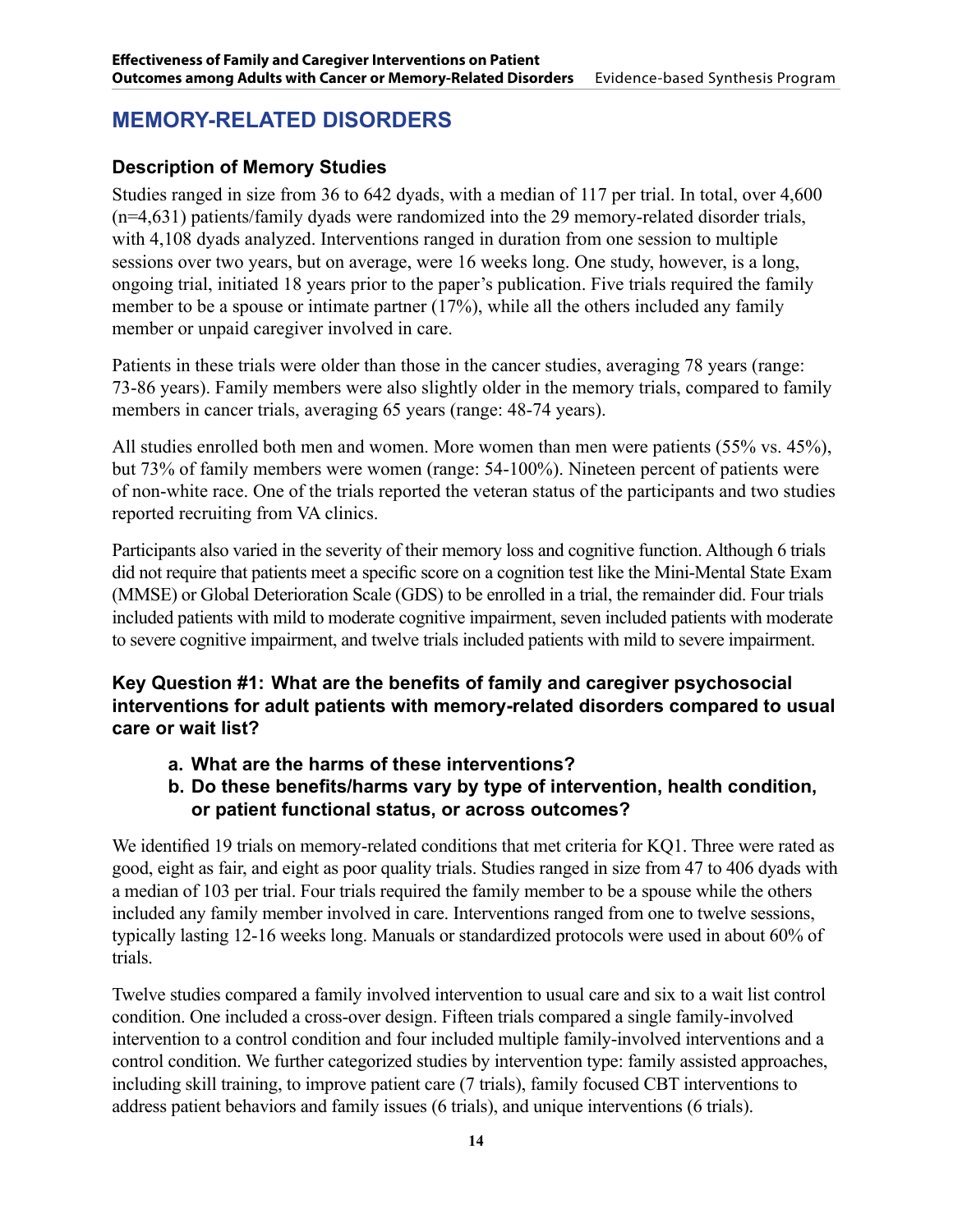### **MEMORY-RELATED DISORDERS**

#### **Description of Memory Studies**

Studies ranged in size from 36 to 642 dyads, with a median of 117 per trial. In total, over 4,600 (n=4,631) patients/family dyads were randomized into the 29 memory-related disorder trials, with 4,108 dyads analyzed. Interventions ranged in duration from one session to multiple sessions over two years, but on average, were 16 weeks long. One study, however, is a long, ongoing trial, initiated 18 years prior to the paper's publication. Five trials required the family member to be a spouse or intimate partner (17%), while all the others included any family member or unpaid caregiver involved in care.

Patients in these trials were older than those in the cancer studies, averaging 78 years (range: 73-86 years). Family members were also slightly older in the memory trials, compared to family members in cancer trials, averaging 65 years (range: 48-74 years).

All studies enrolled both men and women. More women than men were patients (55% vs. 45%), but 73% of family members were women (range: 54-100%). Nineteen percent of patients were of non-white race. One of the trials reported the veteran status of the participants and two studies reported recruiting from VA clinics.

Participants also varied in the severity of their memory loss and cognitive function. Although 6 trials did not require that patients meet a specific score on a cognition test like the Mini-Mental State Exam (MMSE) or Global Deterioration Scale (GDS) to be enrolled in a trial, the remainder did. Four trials included patients with mild to moderate cognitive impairment, seven included patients with moderate to severe cognitive impairment, and twelve trials included patients with mild to severe impairment.

**Key Question #1: What are the benefits of family and caregiver psychosocial interventions for adult patients with memory-related disorders compared to usual care or wait list?**

- **a. What are the harms of these interventions?**
- **b. Do these benefits/harms vary by type of intervention, health condition, or patient functional status, or across outcomes?**

We identified 19 trials on memory-related conditions that met criteria for KQ1. Three were rated as good, eight as fair, and eight as poor quality trials. Studies ranged in size from 47 to 406 dyads with a median of 103 per trial. Four trials required the family member to be a spouse while the others included any family member involved in care. Interventions ranged from one to twelve sessions, typically lasting 12-16 weeks long. Manuals or standardized protocols were used in about 60% of trials.

Twelve studies compared a family involved intervention to usual care and six to a wait list control condition. One included a cross-over design. Fifteen trials compared a single family-involved intervention to a control condition and four included multiple family-involved interventions and a control condition. We further categorized studies by intervention type: family assisted approaches, including skill training, to improve patient care (7 trials), family focused CBT interventions to address patient behaviors and family issues (6 trials), and unique interventions (6 trials).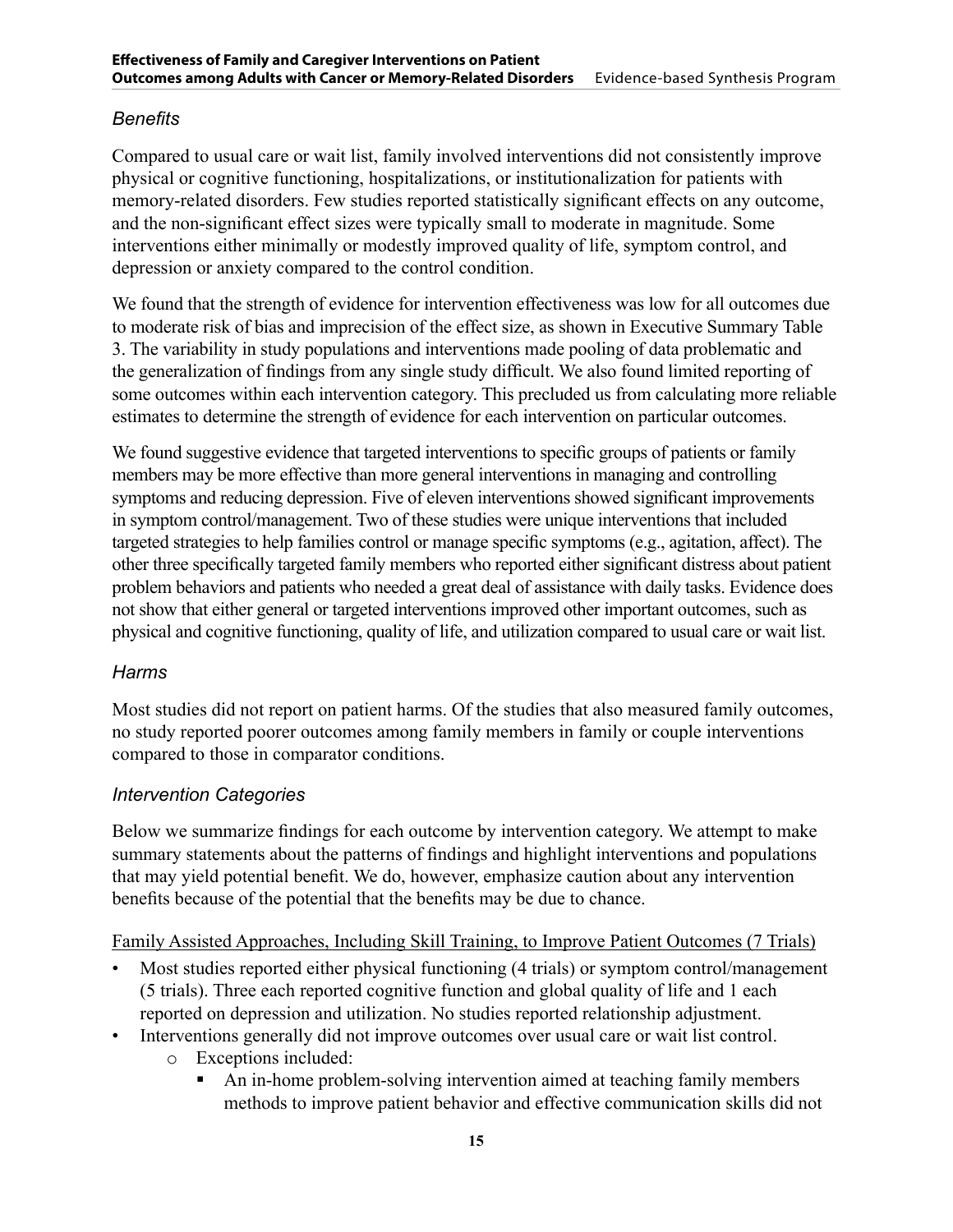#### *Benefits*

Compared to usual care or wait list, family involved interventions did not consistently improve physical or cognitive functioning, hospitalizations, or institutionalization for patients with memory-related disorders. Few studies reported statistically significant effects on any outcome, and the non-significant effect sizes were typically small to moderate in magnitude. Some interventions either minimally or modestly improved quality of life, symptom control, and depression or anxiety compared to the control condition.

We found that the strength of evidence for intervention effectiveness was low for all outcomes due to moderate risk of bias and imprecision of the effect size, as shown in Executive Summary Table 3. The variability in study populations and interventions made pooling of data problematic and the generalization of findings from any single study difficult. We also found limited reporting of some outcomes within each intervention category. This precluded us from calculating more reliable estimates to determine the strength of evidence for each intervention on particular outcomes.

We found suggestive evidence that targeted interventions to specific groups of patients or family members may be more effective than more general interventions in managing and controlling symptoms and reducing depression. Five of eleven interventions showed significant improvements in symptom control/management. Two of these studies were unique interventions that included targeted strategies to help families control or manage specific symptoms (e.g., agitation, affect). The other three specifically targeted family members who reported either significant distress about patient problem behaviors and patients who needed a great deal of assistance with daily tasks. Evidence does not show that either general or targeted interventions improved other important outcomes, such as physical and cognitive functioning, quality of life, and utilization compared to usual care or wait list.

#### *Harms*

Most studies did not report on patient harms. Of the studies that also measured family outcomes, no study reported poorer outcomes among family members in family or couple interventions compared to those in comparator conditions.

#### *Intervention Categories*

Below we summarize findings for each outcome by intervention category. We attempt to make summary statements about the patterns of findings and highlight interventions and populations that may yield potential benefit. We do, however, emphasize caution about any intervention benefits because of the potential that the benefits may be due to chance.

#### Family Assisted Approaches, Including Skill Training, to Improve Patient Outcomes (7 Trials)

- Most studies reported either physical functioning (4 trials) or symptom control/management (5 trials). Three each reported cognitive function and global quality of life and 1 each reported on depression and utilization. No studies reported relationship adjustment.
- Interventions generally did not improve outcomes over usual care or wait list control.
	- o Exceptions included:
		- An in-home problem-solving intervention aimed at teaching family members methods to improve patient behavior and effective communication skills did not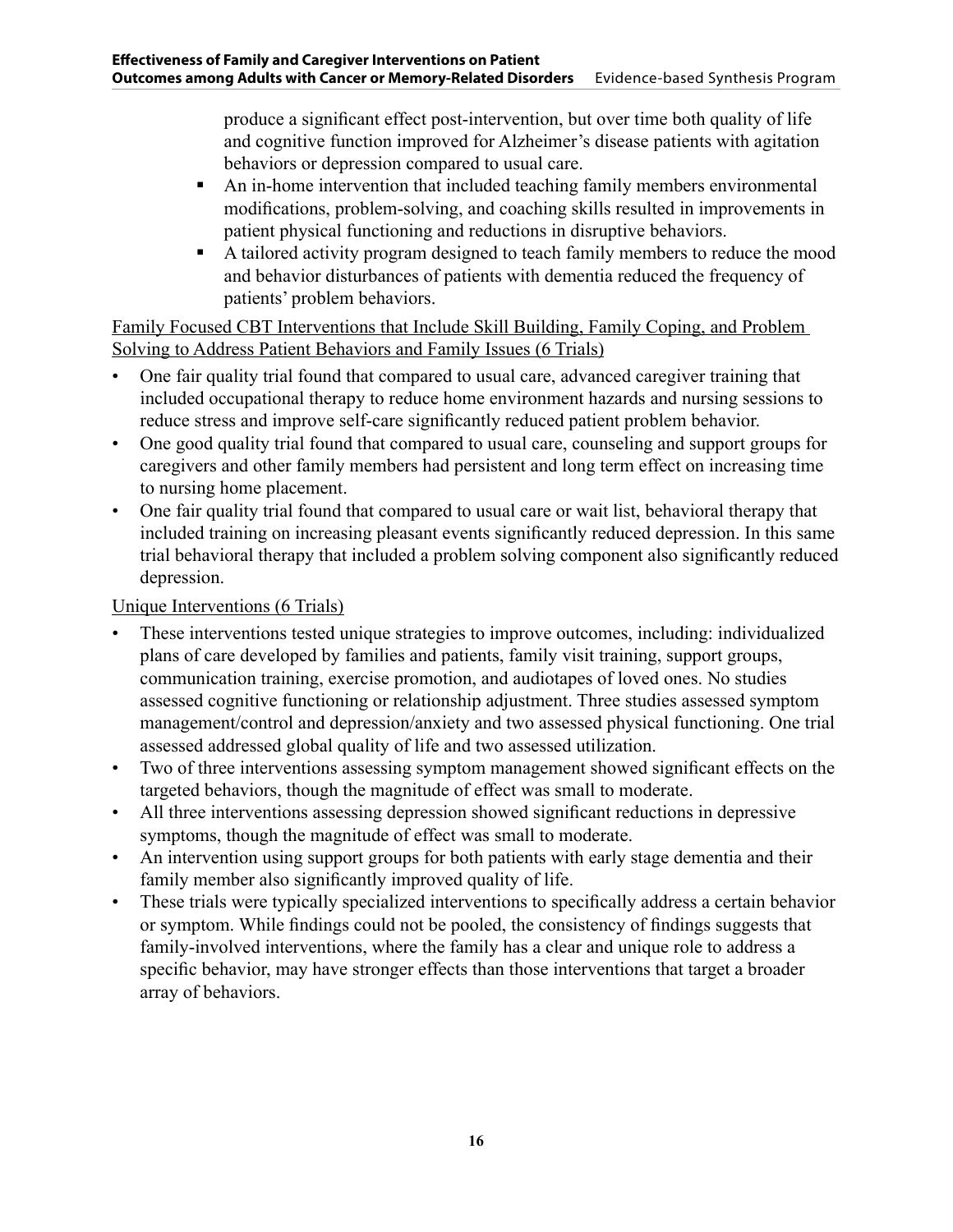produce a significant effect post-intervention, but over time both quality of life and cognitive function improved for Alzheimer's disease patients with agitation behaviors or depression compared to usual care.

- An in-home intervention that included teaching family members environmental modifications, problem-solving, and coaching skills resulted in improvements in patient physical functioning and reductions in disruptive behaviors.
- A tailored activity program designed to teach family members to reduce the mood and behavior disturbances of patients with dementia reduced the frequency of patients' problem behaviors.

Family Focused CBT Interventions that Include Skill Building, Family Coping, and Problem Solving to Address Patient Behaviors and Family Issues (6 Trials)

- One fair quality trial found that compared to usual care, advanced caregiver training that included occupational therapy to reduce home environment hazards and nursing sessions to reduce stress and improve self-care significantly reduced patient problem behavior.
- One good quality trial found that compared to usual care, counseling and support groups for caregivers and other family members had persistent and long term effect on increasing time to nursing home placement.
- One fair quality trial found that compared to usual care or wait list, behavioral therapy that included training on increasing pleasant events significantly reduced depression. In this same trial behavioral therapy that included a problem solving component also significantly reduced depression.

#### Unique Interventions (6 Trials)

- These interventions tested unique strategies to improve outcomes, including: individualized plans of care developed by families and patients, family visit training, support groups, communication training, exercise promotion, and audiotapes of loved ones. No studies assessed cognitive functioning or relationship adjustment. Three studies assessed symptom management/control and depression/anxiety and two assessed physical functioning. One trial assessed addressed global quality of life and two assessed utilization.
- Two of three interventions assessing symptom management showed significant effects on the targeted behaviors, though the magnitude of effect was small to moderate.
- All three interventions assessing depression showed significant reductions in depressive symptoms, though the magnitude of effect was small to moderate.
- An intervention using support groups for both patients with early stage dementia and their family member also significantly improved quality of life.
- These trials were typically specialized interventions to specifically address a certain behavior or symptom. While findings could not be pooled, the consistency of findings suggests that family-involved interventions, where the family has a clear and unique role to address a specific behavior, may have stronger effects than those interventions that target a broader array of behaviors.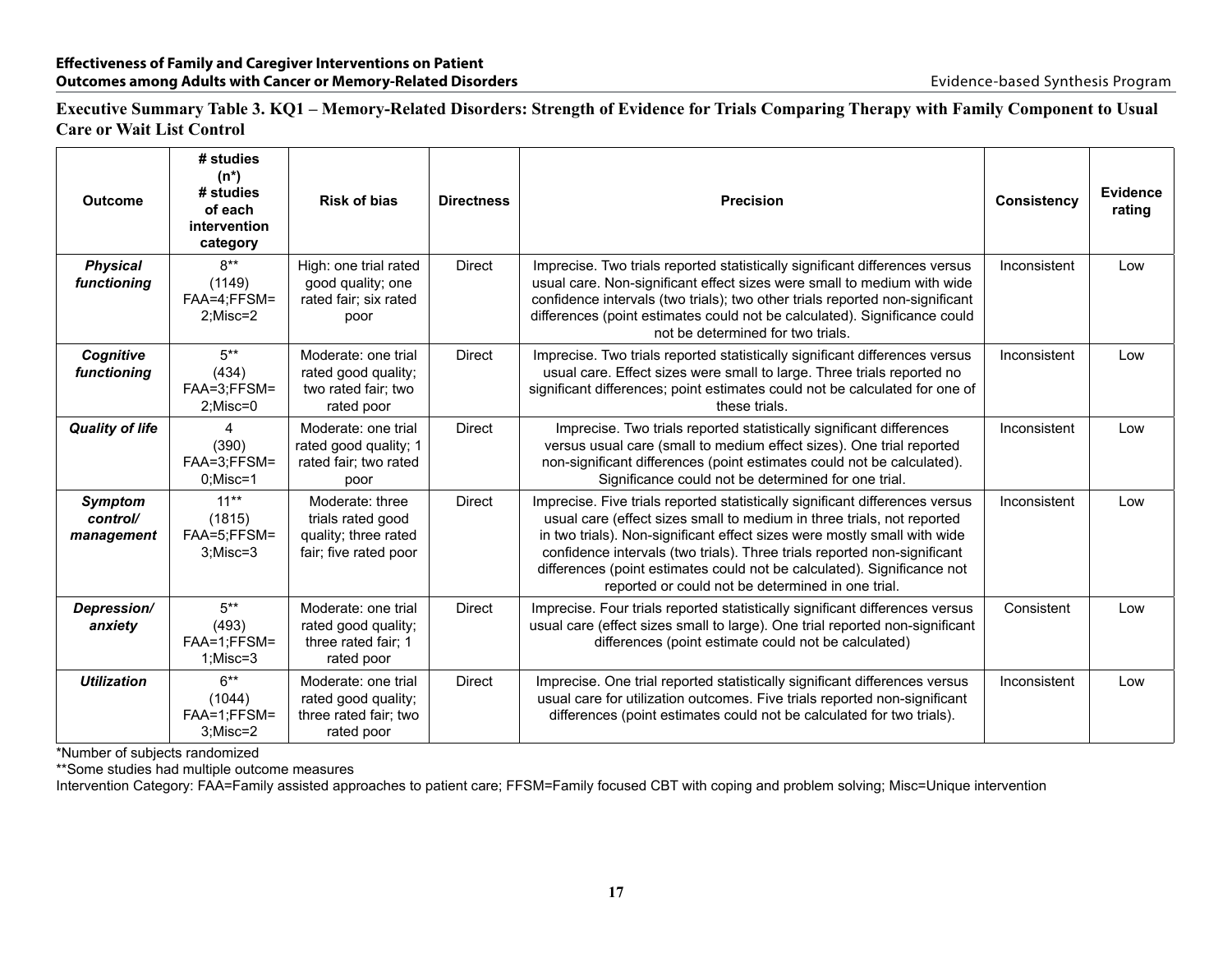**Executive Summary Table 3. KQ1 – Memory-Related Disorders: Strength of Evidence for Trials Comparing Therapy with Family Component to Usual Care or Wait List Control**

| <b>Outcome</b>                           | # studies<br>$(n^*)$<br># studies<br>of each<br>intervention<br>category | <b>Risk of bias</b>                                                                   | <b>Directness</b> | <b>Precision</b>                                                                                                                                                                                                                                                                                                                                                                                                                               | <b>Consistency</b> | <b>Evidence</b><br>rating |
|------------------------------------------|--------------------------------------------------------------------------|---------------------------------------------------------------------------------------|-------------------|------------------------------------------------------------------------------------------------------------------------------------------------------------------------------------------------------------------------------------------------------------------------------------------------------------------------------------------------------------------------------------------------------------------------------------------------|--------------------|---------------------------|
| <b>Physical</b><br>functioning           | $8**$<br>(1149)<br>FAA=4;FFSM=<br>$2:Miss = 2$                           | High: one trial rated<br>good quality; one<br>rated fair; six rated<br>poor           | <b>Direct</b>     | Imprecise. Two trials reported statistically significant differences versus<br>usual care. Non-significant effect sizes were small to medium with wide<br>confidence intervals (two trials); two other trials reported non-significant<br>differences (point estimates could not be calculated). Significance could<br>not be determined for two trials.                                                                                       | Inconsistent       | Low                       |
| Cognitive<br>functioning                 | $5***$<br>(434)<br>FAA=3:FFSM=<br>$2:Miss=0$                             | Moderate: one trial<br>rated good quality;<br>two rated fair; two<br>rated poor       | <b>Direct</b>     | Imprecise. Two trials reported statistically significant differences versus<br>usual care. Effect sizes were small to large. Three trials reported no<br>significant differences; point estimates could not be calculated for one of<br>these trials.                                                                                                                                                                                          | Inconsistent       | Low                       |
| <b>Quality of life</b>                   | 4<br>(390)<br>FAA=3:FFSM=<br>$0:$ Misc=1                                 | Moderate: one trial<br>rated good quality; 1<br>rated fair: two rated<br>poor         | <b>Direct</b>     | Imprecise. Two trials reported statistically significant differences<br>versus usual care (small to medium effect sizes). One trial reported<br>non-significant differences (point estimates could not be calculated).<br>Significance could not be determined for one trial.                                                                                                                                                                  | Inconsistent       | Low                       |
| <b>Symptom</b><br>control/<br>management | $11**$<br>(1815)<br>FAA=5;FFSM=<br>$3:Miss = 3$                          | Moderate: three<br>trials rated good<br>quality; three rated<br>fair; five rated poor | <b>Direct</b>     | Imprecise. Five trials reported statistically significant differences versus<br>usual care (effect sizes small to medium in three trials, not reported<br>in two trials). Non-significant effect sizes were mostly small with wide<br>confidence intervals (two trials). Three trials reported non-significant<br>differences (point estimates could not be calculated). Significance not<br>reported or could not be determined in one trial. | Inconsistent       | Low                       |
| Depression/<br>anxiety                   | $5***$<br>(493)<br>FAA=1:FFSM=<br>$1:Miss = 3$                           | Moderate: one trial<br>rated good quality;<br>three rated fair; 1<br>rated poor       | Direct            | Imprecise. Four trials reported statistically significant differences versus<br>usual care (effect sizes small to large). One trial reported non-significant<br>differences (point estimate could not be calculated)                                                                                                                                                                                                                           | Consistent         | Low                       |
| <b>Utilization</b>                       | $6***$<br>(1044)<br>FAA=1;FFSM=<br>$3$ :Misc=2                           | Moderate: one trial<br>rated good quality;<br>three rated fair; two<br>rated poor     | <b>Direct</b>     | Imprecise. One trial reported statistically significant differences versus<br>usual care for utilization outcomes. Five trials reported non-significant<br>differences (point estimates could not be calculated for two trials).                                                                                                                                                                                                               | Inconsistent       | Low                       |

\*Number of subjects randomized

\*\*Some studies had multiple outcome measures

Intervention Category: FAA=Family assisted approaches to patient care; FFSM=Family focused CBT with coping and problem solving; Misc=Unique intervention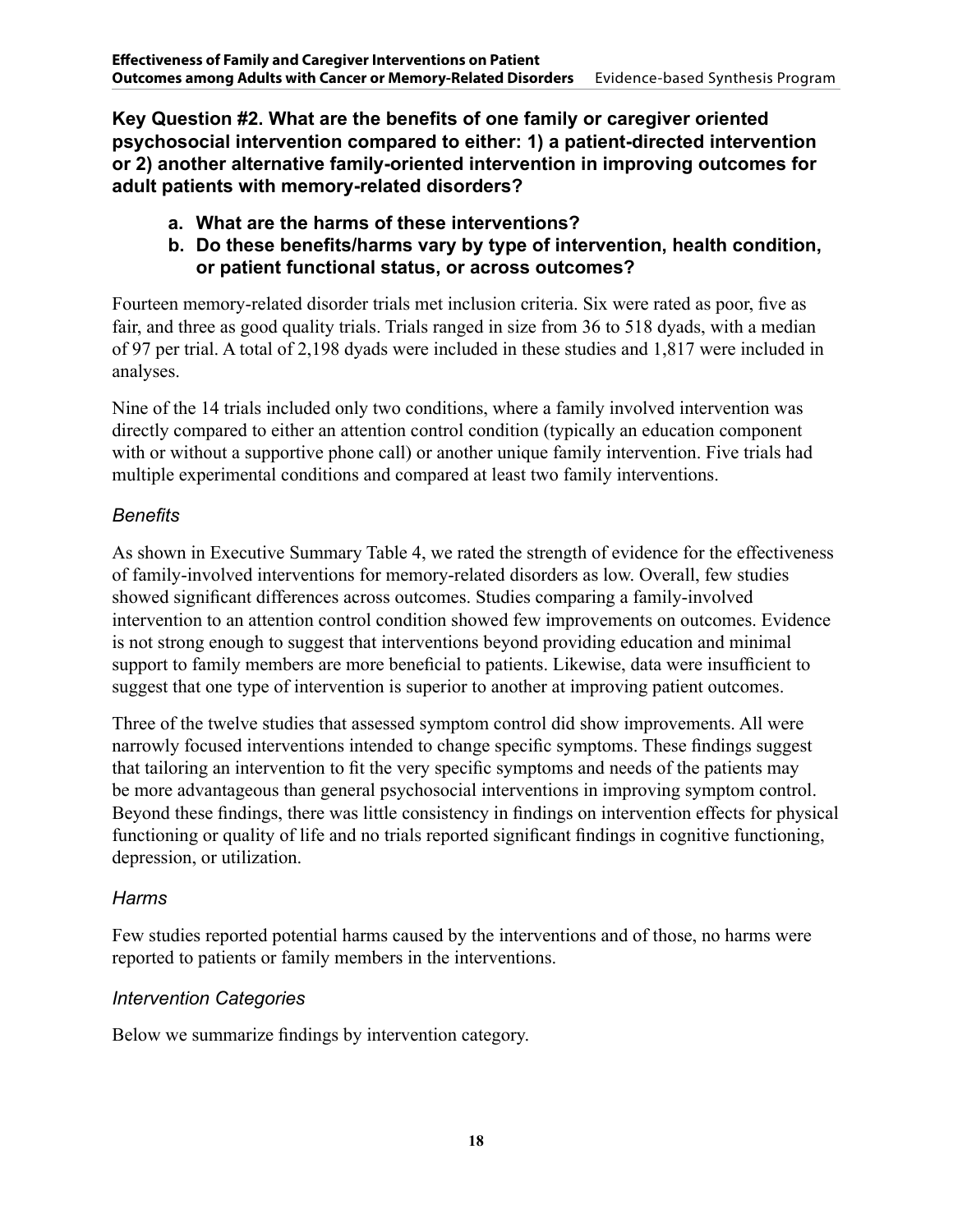**Key Question #2. What are the benefits of one family or caregiver oriented psychosocial intervention compared to either: 1) a patient-directed intervention or 2) another alternative family-oriented intervention in improving outcomes for adult patients with memory-related disorders?**

- **a. What are the harms of these interventions?**
- **b. Do these benefits/harms vary by type of intervention, health condition, or patient functional status, or across outcomes?**

Fourteen memory-related disorder trials met inclusion criteria. Six were rated as poor, five as fair, and three as good quality trials. Trials ranged in size from 36 to 518 dyads, with a median of 97 per trial. A total of 2,198 dyads were included in these studies and 1,817 were included in analyses.

Nine of the 14 trials included only two conditions, where a family involved intervention was directly compared to either an attention control condition (typically an education component with or without a supportive phone call) or another unique family intervention. Five trials had multiple experimental conditions and compared at least two family interventions.

#### *Benefits*

As shown in Executive Summary Table 4, we rated the strength of evidence for the effectiveness of family-involved interventions for memory-related disorders as low. Overall, few studies showed significant differences across outcomes. Studies comparing a family-involved intervention to an attention control condition showed few improvements on outcomes. Evidence is not strong enough to suggest that interventions beyond providing education and minimal support to family members are more beneficial to patients. Likewise, data were insufficient to suggest that one type of intervention is superior to another at improving patient outcomes.

Three of the twelve studies that assessed symptom control did show improvements. All were narrowly focused interventions intended to change specific symptoms. These findings suggest that tailoring an intervention to fit the very specific symptoms and needs of the patients may be more advantageous than general psychosocial interventions in improving symptom control. Beyond these findings, there was little consistency in findings on intervention effects for physical functioning or quality of life and no trials reported significant findings in cognitive functioning, depression, or utilization.

#### *Harms*

Few studies reported potential harms caused by the interventions and of those, no harms were reported to patients or family members in the interventions.

#### *Intervention Categories*

Below we summarize findings by intervention category.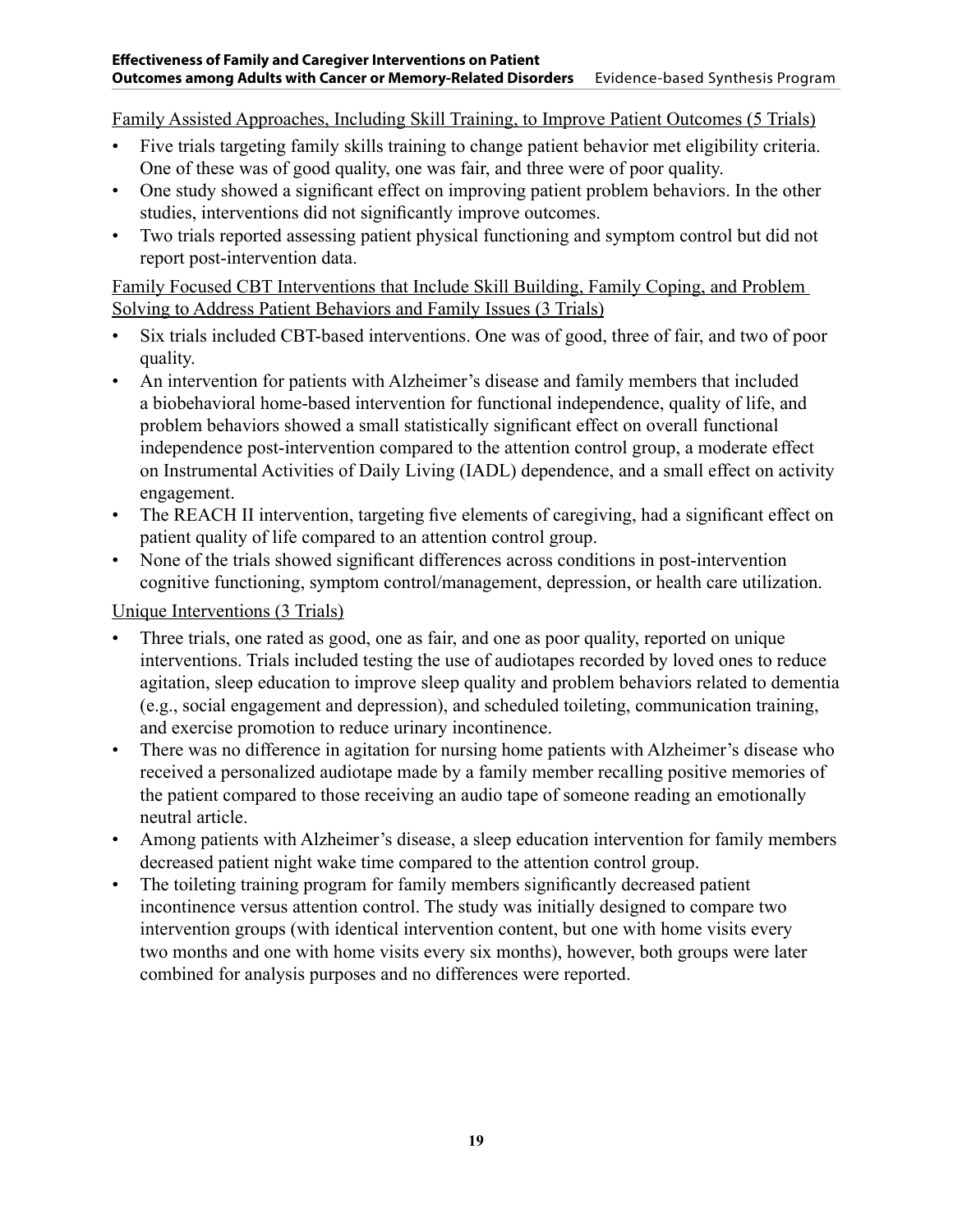Family Assisted Approaches, Including Skill Training, to Improve Patient Outcomes (5 Trials)

- Five trials targeting family skills training to change patient behavior met eligibility criteria. One of these was of good quality, one was fair, and three were of poor quality.
- One study showed a significant effect on improving patient problem behaviors. In the other studies, interventions did not significantly improve outcomes.
- Two trials reported assessing patient physical functioning and symptom control but did not report post-intervention data.

Family Focused CBT Interventions that Include Skill Building, Family Coping, and Problem Solving to Address Patient Behaviors and Family Issues (3 Trials)

- Six trials included CBT-based interventions. One was of good, three of fair, and two of poor quality.
- An intervention for patients with Alzheimer's disease and family members that included a biobehavioral home-based intervention for functional independence, quality of life, and problem behaviors showed a small statistically significant effect on overall functional independence post-intervention compared to the attention control group, a moderate effect on Instrumental Activities of Daily Living (IADL) dependence, and a small effect on activity engagement.
- The REACH II intervention, targeting five elements of caregiving, had a significant effect on patient quality of life compared to an attention control group.
- None of the trials showed significant differences across conditions in post-intervention cognitive functioning, symptom control/management, depression, or health care utilization.

Unique Interventions (3 Trials)

- Three trials, one rated as good, one as fair, and one as poor quality, reported on unique interventions. Trials included testing the use of audiotapes recorded by loved ones to reduce agitation, sleep education to improve sleep quality and problem behaviors related to dementia (e.g., social engagement and depression), and scheduled toileting, communication training, and exercise promotion to reduce urinary incontinence.
- There was no difference in agitation for nursing home patients with Alzheimer's disease who received a personalized audiotape made by a family member recalling positive memories of the patient compared to those receiving an audio tape of someone reading an emotionally neutral article.
- Among patients with Alzheimer's disease, a sleep education intervention for family members decreased patient night wake time compared to the attention control group.
- The toileting training program for family members significantly decreased patient incontinence versus attention control. The study was initially designed to compare two intervention groups (with identical intervention content, but one with home visits every two months and one with home visits every six months), however, both groups were later combined for analysis purposes and no differences were reported.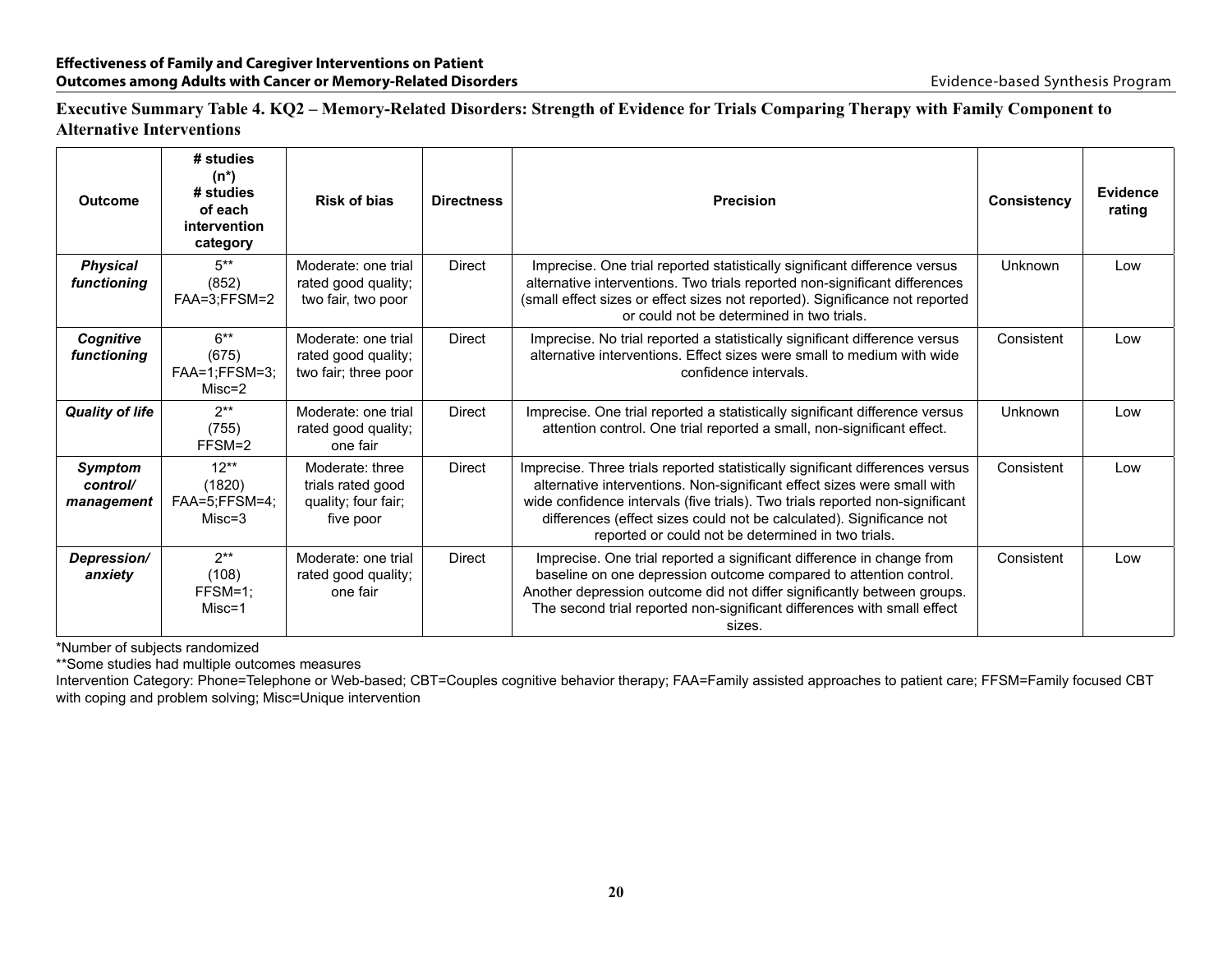**Executive Summary Table 4. KQ2 – Memory-Related Disorders: Strength of Evidence for Trials Comparing Therapy with Family Component to Alternative Interventions**

| Outcome                                  | # studies<br>$(n^*)$<br># studies<br>of each<br>intervention<br>category | <b>Risk of bias</b>                                                      | <b>Directness</b> | <b>Precision</b>                                                                                                                                                                                                                                                                                                                                                       | <b>Consistency</b> | Evidence<br>rating |
|------------------------------------------|--------------------------------------------------------------------------|--------------------------------------------------------------------------|-------------------|------------------------------------------------------------------------------------------------------------------------------------------------------------------------------------------------------------------------------------------------------------------------------------------------------------------------------------------------------------------------|--------------------|--------------------|
| <b>Physical</b><br>functioning           | $5***$<br>(852)<br>FAA=3;FFSM=2                                          | Moderate: one trial<br>rated good quality;<br>two fair, two poor         | <b>Direct</b>     | Imprecise. One trial reported statistically significant difference versus<br>alternative interventions. Two trials reported non-significant differences<br>(small effect sizes or effect sizes not reported). Significance not reported<br>or could not be determined in two trials.                                                                                   | Unknown            | Low                |
| Cognitive<br>functioning                 | $6***$<br>(675)<br>$FAA=1;FFSM=3;$<br>$Misc = 2$                         | Moderate: one trial<br>rated good quality;<br>two fair; three poor       | <b>Direct</b>     | Imprecise. No trial reported a statistically significant difference versus<br>alternative interventions. Effect sizes were small to medium with wide<br>confidence intervals.                                                                                                                                                                                          | Consistent         | Low                |
| <b>Quality of life</b>                   | $2**$<br>(755)<br>FFSM=2                                                 | Moderate: one trial<br>rated good quality;<br>one fair                   | <b>Direct</b>     | Imprecise. One trial reported a statistically significant difference versus<br>attention control. One trial reported a small, non-significant effect.                                                                                                                                                                                                                  | Unknown            | Low                |
| <b>Symptom</b><br>control/<br>management | $12**$<br>(1820)<br>$FAA=5;FFSM=4;$<br>$Misc = 3$                        | Moderate: three<br>trials rated good<br>quality; four fair;<br>five poor | <b>Direct</b>     | Imprecise. Three trials reported statistically significant differences versus<br>alternative interventions. Non-significant effect sizes were small with<br>wide confidence intervals (five trials). Two trials reported non-significant<br>differences (effect sizes could not be calculated). Significance not<br>reported or could not be determined in two trials. | Consistent         | Low                |
| Depression/<br>anxiety                   | $2**$<br>(108)<br>FFSM=1:<br>Misc=1                                      | Moderate: one trial<br>rated good quality;<br>one fair                   | <b>Direct</b>     | Imprecise. One trial reported a significant difference in change from<br>baseline on one depression outcome compared to attention control.<br>Another depression outcome did not differ significantly between groups.<br>The second trial reported non-significant differences with small effect<br>sizes.                                                             | Consistent         | Low                |

\*Number of subjects randomized

\*\*Some studies had multiple outcomes measures

Intervention Category: Phone=Telephone or Web-based; CBT=Couples cognitive behavior therapy; FAA=Family assisted approaches to patient care; FFSM=Family focused CBT with coping and problem solving; Misc=Unique intervention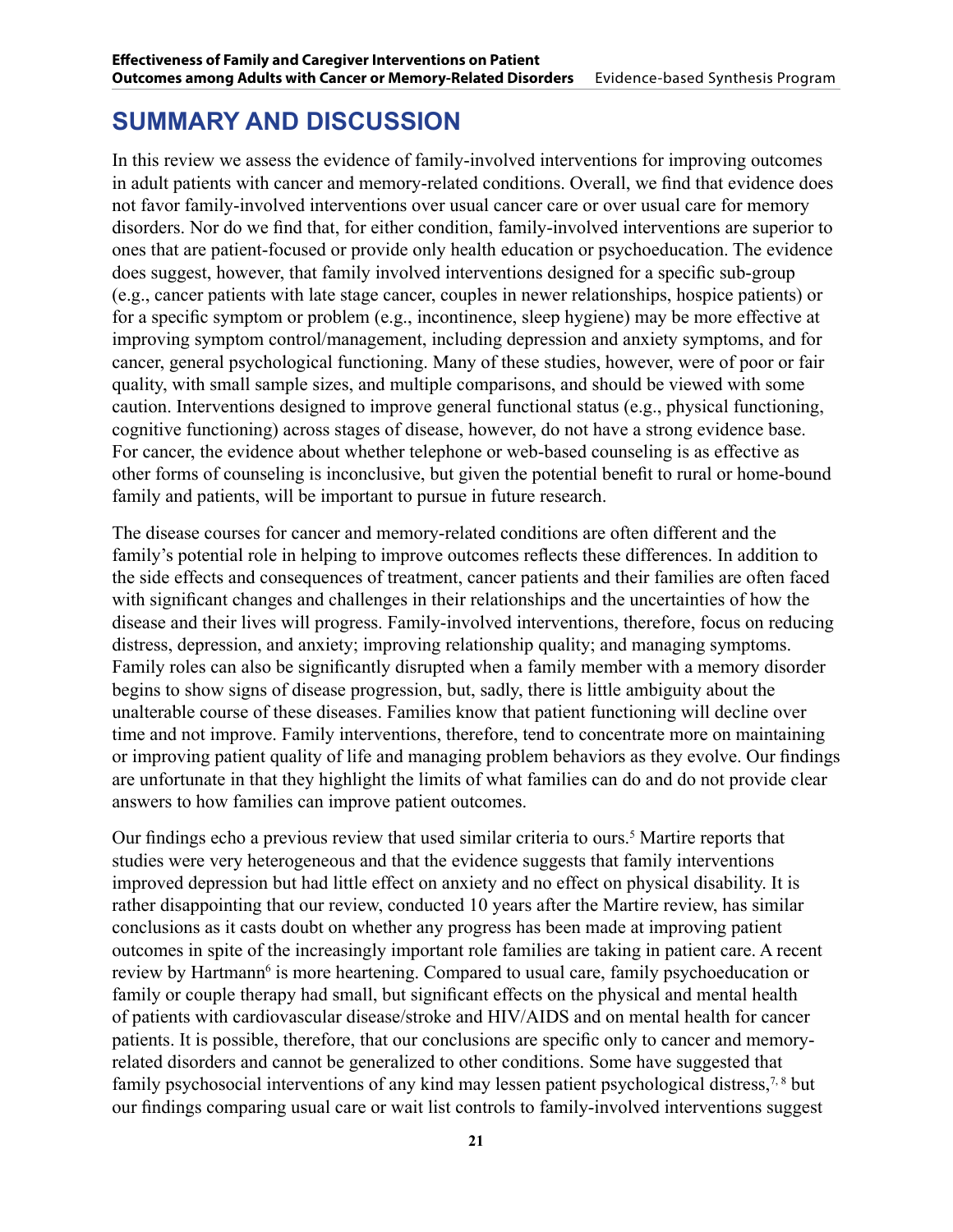### **SUMMARY AND DISCUSSION**

In this review we assess the evidence of family-involved interventions for improving outcomes in adult patients with cancer and memory-related conditions. Overall, we find that evidence does not favor family-involved interventions over usual cancer care or over usual care for memory disorders. Nor do we find that, for either condition, family-involved interventions are superior to ones that are patient-focused or provide only health education or psychoeducation. The evidence does suggest, however, that family involved interventions designed for a specific sub-group (e.g., cancer patients with late stage cancer, couples in newer relationships, hospice patients) or for a specific symptom or problem (e.g., incontinence, sleep hygiene) may be more effective at improving symptom control/management, including depression and anxiety symptoms, and for cancer, general psychological functioning. Many of these studies, however, were of poor or fair quality, with small sample sizes, and multiple comparisons, and should be viewed with some caution. Interventions designed to improve general functional status (e.g., physical functioning, cognitive functioning) across stages of disease, however, do not have a strong evidence base. For cancer, the evidence about whether telephone or web-based counseling is as effective as other forms of counseling is inconclusive, but given the potential benefit to rural or home-bound family and patients, will be important to pursue in future research.

The disease courses for cancer and memory-related conditions are often different and the family's potential role in helping to improve outcomes reflects these differences. In addition to the side effects and consequences of treatment, cancer patients and their families are often faced with significant changes and challenges in their relationships and the uncertainties of how the disease and their lives will progress. Family-involved interventions, therefore, focus on reducing distress, depression, and anxiety; improving relationship quality; and managing symptoms. Family roles can also be significantly disrupted when a family member with a memory disorder begins to show signs of disease progression, but, sadly, there is little ambiguity about the unalterable course of these diseases. Families know that patient functioning will decline over time and not improve. Family interventions, therefore, tend to concentrate more on maintaining or improving patient quality of life and managing problem behaviors as they evolve. Our findings are unfortunate in that they highlight the limits of what families can do and do not provide clear answers to how families can improve patient outcomes.

Our findings echo a previous review that used similar criteria to ours.<sup>5</sup> Martire reports that studies were very heterogeneous and that the evidence suggests that family interventions improved depression but had little effect on anxiety and no effect on physical disability. It is rather disappointing that our review, conducted 10 years after the Martire review, has similar conclusions as it casts doubt on whether any progress has been made at improving patient outcomes in spite of the increasingly important role families are taking in patient care. A recent review by Hartmann<sup>6</sup> is more heartening. Compared to usual care, family psychoeducation or family or couple therapy had small, but significant effects on the physical and mental health of patients with cardiovascular disease/stroke and HIV/AIDS and on mental health for cancer patients. It is possible, therefore, that our conclusions are specific only to cancer and memoryrelated disorders and cannot be generalized to other conditions. Some have suggested that family psychosocial interventions of any kind may lessen patient psychological distress,<sup>7, 8</sup> but our findings comparing usual care or wait list controls to family-involved interventions suggest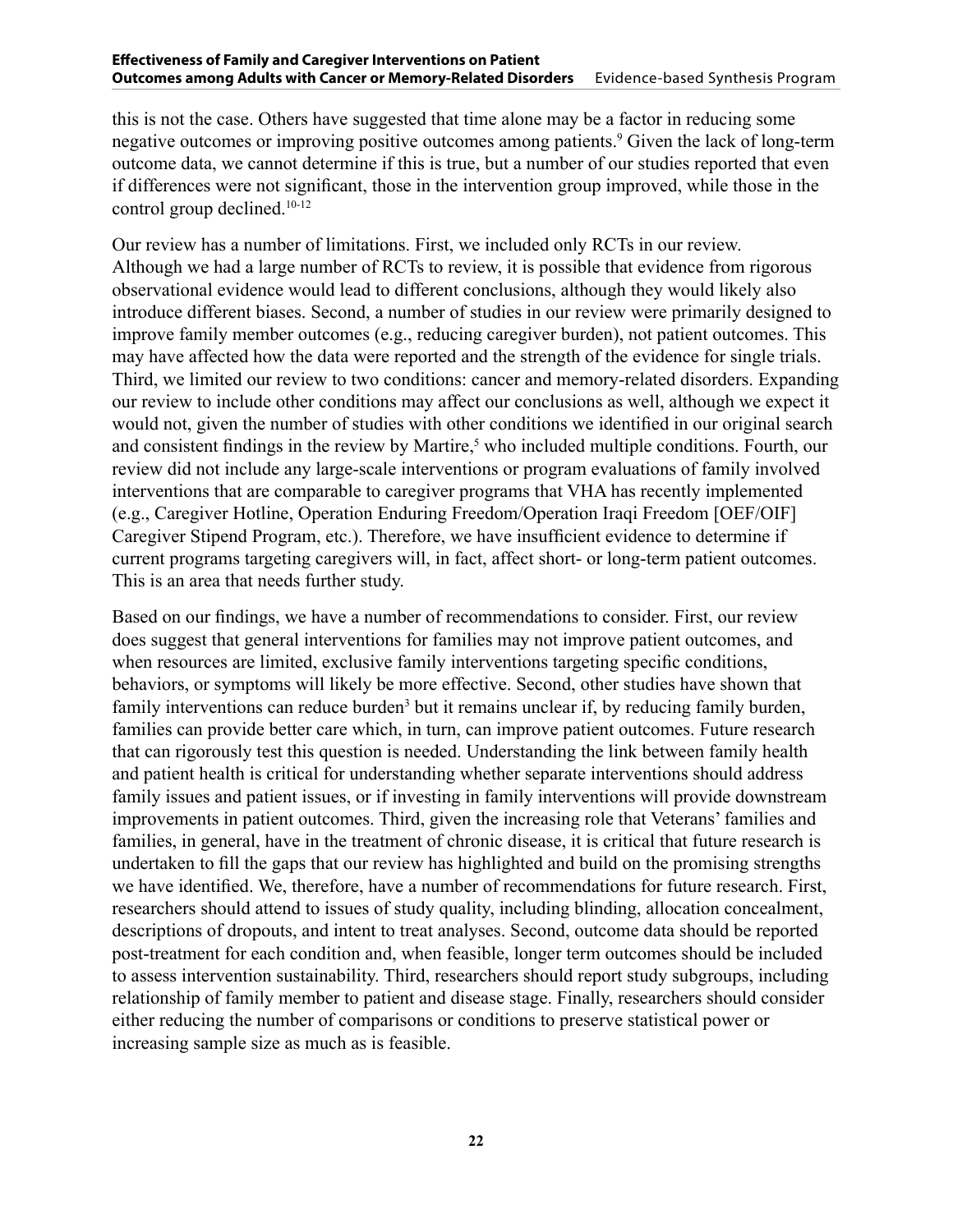this is not the case. Others have suggested that time alone may be a factor in reducing some negative outcomes or improving positive outcomes among patients.<sup>9</sup> Given the lack of long-term outcome data, we cannot determine if this is true, but a number of our studies reported that even if differences were not significant, those in the intervention group improved, while those in the control group declined.10-12

Our review has a number of limitations. First, we included only RCTs in our review. Although we had a large number of RCTs to review, it is possible that evidence from rigorous observational evidence would lead to different conclusions, although they would likely also introduce different biases. Second, a number of studies in our review were primarily designed to improve family member outcomes (e.g., reducing caregiver burden), not patient outcomes. This may have affected how the data were reported and the strength of the evidence for single trials. Third, we limited our review to two conditions: cancer and memory-related disorders. Expanding our review to include other conditions may affect our conclusions as well, although we expect it would not, given the number of studies with other conditions we identified in our original search and consistent findings in the review by Martire,<sup>5</sup> who included multiple conditions. Fourth, our review did not include any large-scale interventions or program evaluations of family involved interventions that are comparable to caregiver programs that VHA has recently implemented (e.g., Caregiver Hotline, Operation Enduring Freedom/Operation Iraqi Freedom [OEF/OIF] Caregiver Stipend Program, etc.). Therefore, we have insufficient evidence to determine if current programs targeting caregivers will, in fact, affect short- or long-term patient outcomes. This is an area that needs further study.

Based on our findings, we have a number of recommendations to consider. First, our review does suggest that general interventions for families may not improve patient outcomes, and when resources are limited, exclusive family interventions targeting specific conditions, behaviors, or symptoms will likely be more effective. Second, other studies have shown that family interventions can reduce burden<sup>3</sup> but it remains unclear if, by reducing family burden, families can provide better care which, in turn, can improve patient outcomes. Future research that can rigorously test this question is needed. Understanding the link between family health and patient health is critical for understanding whether separate interventions should address family issues and patient issues, or if investing in family interventions will provide downstream improvements in patient outcomes. Third, given the increasing role that Veterans' families and families, in general, have in the treatment of chronic disease, it is critical that future research is undertaken to fill the gaps that our review has highlighted and build on the promising strengths we have identified. We, therefore, have a number of recommendations for future research. First, researchers should attend to issues of study quality, including blinding, allocation concealment, descriptions of dropouts, and intent to treat analyses. Second, outcome data should be reported post-treatment for each condition and, when feasible, longer term outcomes should be included to assess intervention sustainability. Third, researchers should report study subgroups, including relationship of family member to patient and disease stage. Finally, researchers should consider either reducing the number of comparisons or conditions to preserve statistical power or increasing sample size as much as is feasible.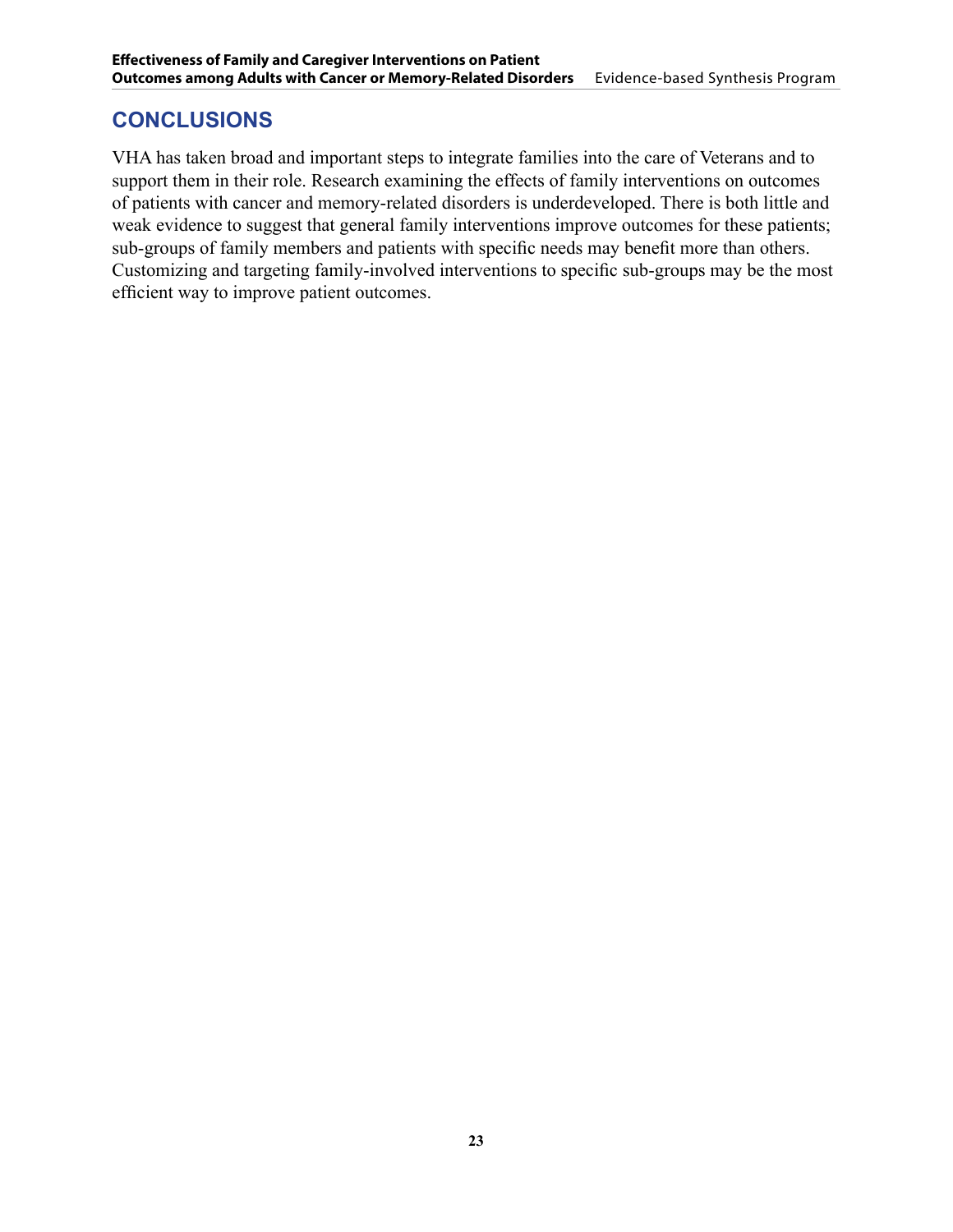#### **CONCLUSIONS**

VHA has taken broad and important steps to integrate families into the care of Veterans and to support them in their role. Research examining the effects of family interventions on outcomes of patients with cancer and memory-related disorders is underdeveloped. There is both little and weak evidence to suggest that general family interventions improve outcomes for these patients; sub-groups of family members and patients with specific needs may benefit more than others. Customizing and targeting family-involved interventions to specific sub-groups may be the most efficient way to improve patient outcomes.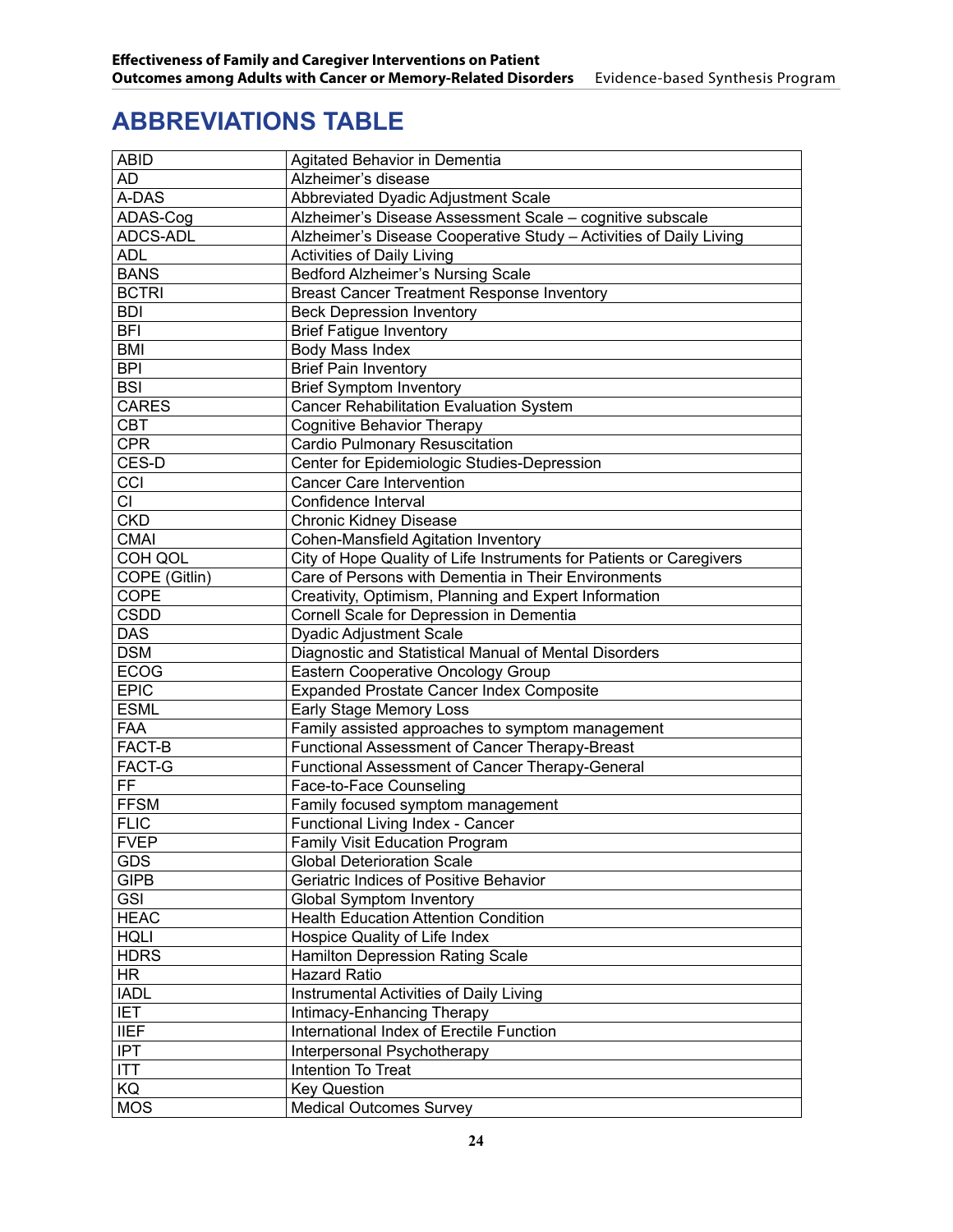### **ABBREVIATIONS TABLE**

| <b>ABID</b>            | Agitated Behavior in Dementia                                       |  |  |  |  |  |
|------------------------|---------------------------------------------------------------------|--|--|--|--|--|
| <b>AD</b>              | Alzheimer's disease                                                 |  |  |  |  |  |
| A-DAS                  | Abbreviated Dyadic Adjustment Scale                                 |  |  |  |  |  |
| ADAS-Cog               | Alzheimer's Disease Assessment Scale - cognitive subscale           |  |  |  |  |  |
| ADCS-ADL               | Alzheimer's Disease Cooperative Study - Activities of Daily Living  |  |  |  |  |  |
| <b>ADL</b>             | <b>Activities of Daily Living</b>                                   |  |  |  |  |  |
| <b>BANS</b>            | Bedford Alzheimer's Nursing Scale                                   |  |  |  |  |  |
| <b>BCTRI</b>           | <b>Breast Cancer Treatment Response Inventory</b>                   |  |  |  |  |  |
| <b>BDI</b>             | <b>Beck Depression Inventory</b>                                    |  |  |  |  |  |
| <b>BFI</b>             | <b>Brief Fatigue Inventory</b>                                      |  |  |  |  |  |
| <b>BMI</b>             | Body Mass Index                                                     |  |  |  |  |  |
| <b>BPI</b>             | <b>Brief Pain Inventory</b>                                         |  |  |  |  |  |
| <b>BSI</b>             | <b>Brief Symptom Inventory</b>                                      |  |  |  |  |  |
| <b>CARES</b>           | <b>Cancer Rehabilitation Evaluation System</b>                      |  |  |  |  |  |
| <b>CBT</b>             | <b>Cognitive Behavior Therapy</b>                                   |  |  |  |  |  |
| <b>CPR</b>             | Cardio Pulmonary Resuscitation                                      |  |  |  |  |  |
| CES-D                  | Center for Epidemiologic Studies-Depression                         |  |  |  |  |  |
| CCI                    | <b>Cancer Care Intervention</b>                                     |  |  |  |  |  |
| CI                     | Confidence Interval                                                 |  |  |  |  |  |
| <b>CKD</b>             | <b>Chronic Kidney Disease</b>                                       |  |  |  |  |  |
|                        |                                                                     |  |  |  |  |  |
| <b>CMAI</b><br>COH QOL | <b>Cohen-Mansfield Agitation Inventory</b>                          |  |  |  |  |  |
|                        | City of Hope Quality of Life Instruments for Patients or Caregivers |  |  |  |  |  |
| COPE (Gitlin)          | Care of Persons with Dementia in Their Environments                 |  |  |  |  |  |
| <b>COPE</b>            | Creativity, Optimism, Planning and Expert Information               |  |  |  |  |  |
| <b>CSDD</b>            | Cornell Scale for Depression in Dementia                            |  |  |  |  |  |
| <b>DAS</b>             | <b>Dyadic Adjustment Scale</b>                                      |  |  |  |  |  |
| <b>DSM</b>             | Diagnostic and Statistical Manual of Mental Disorders               |  |  |  |  |  |
| <b>ECOG</b>            | Eastern Cooperative Oncology Group                                  |  |  |  |  |  |
| <b>EPIC</b>            | <b>Expanded Prostate Cancer Index Composite</b>                     |  |  |  |  |  |
| <b>ESML</b>            | Early Stage Memory Loss                                             |  |  |  |  |  |
| <b>FAA</b>             | Family assisted approaches to symptom management                    |  |  |  |  |  |
| FACT-B                 | Functional Assessment of Cancer Therapy-Breast                      |  |  |  |  |  |
| FACT-G                 | Functional Assessment of Cancer Therapy-General                     |  |  |  |  |  |
| FF.                    | Face-to-Face Counseling                                             |  |  |  |  |  |
| <b>FFSM</b>            | Family focused symptom management                                   |  |  |  |  |  |
| <b>FLIC</b>            | Functional Living Index - Cancer                                    |  |  |  |  |  |
| <b>FVEP</b>            | <b>Family Visit Education Program</b>                               |  |  |  |  |  |
| <b>GDS</b>             | <b>Global Deterioration Scale</b>                                   |  |  |  |  |  |
| <b>GIPB</b>            | Geriatric Indices of Positive Behavior                              |  |  |  |  |  |
| <b>GSI</b>             | <b>Global Symptom Inventory</b>                                     |  |  |  |  |  |
| <b>HEAC</b>            | <b>Health Education Attention Condition</b>                         |  |  |  |  |  |
| <b>HQLI</b>            | Hospice Quality of Life Index                                       |  |  |  |  |  |
| <b>HDRS</b>            | Hamilton Depression Rating Scale                                    |  |  |  |  |  |
| <b>HR</b>              | <b>Hazard Ratio</b>                                                 |  |  |  |  |  |
| <b>IADL</b>            | Instrumental Activities of Daily Living                             |  |  |  |  |  |
| <b>IET</b>             | Intimacy-Enhancing Therapy                                          |  |  |  |  |  |
| <b>IIEF</b>            | International Index of Erectile Function                            |  |  |  |  |  |
| <b>IPT</b>             | Interpersonal Psychotherapy                                         |  |  |  |  |  |
| <b>ITT</b>             | Intention To Treat                                                  |  |  |  |  |  |
| KQ                     | <b>Key Question</b>                                                 |  |  |  |  |  |
| <b>MOS</b>             | <b>Medical Outcomes Survey</b>                                      |  |  |  |  |  |